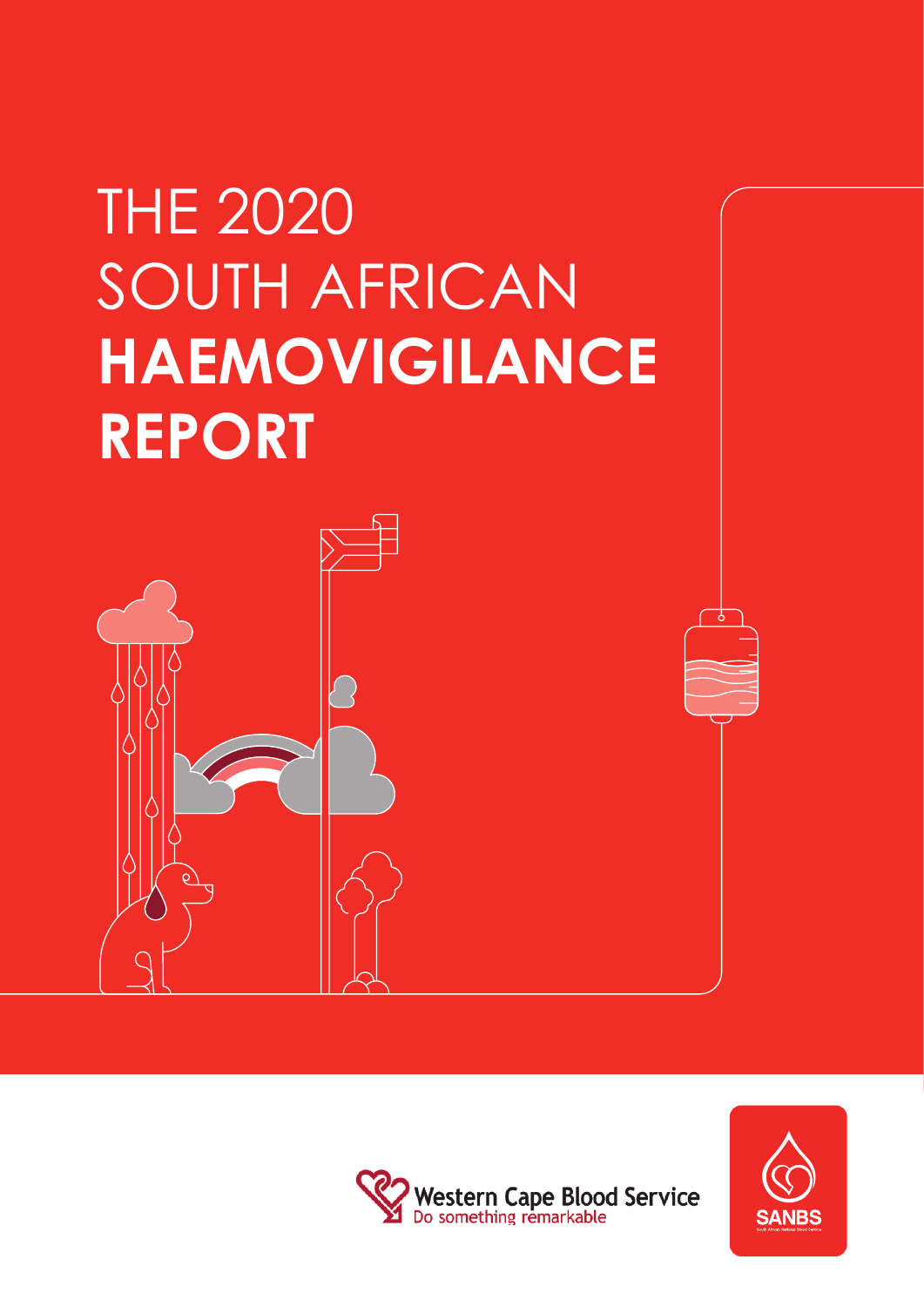# THE 2020 SOUTH AFRICAN **HAEMOVIGILANCE REPORT**





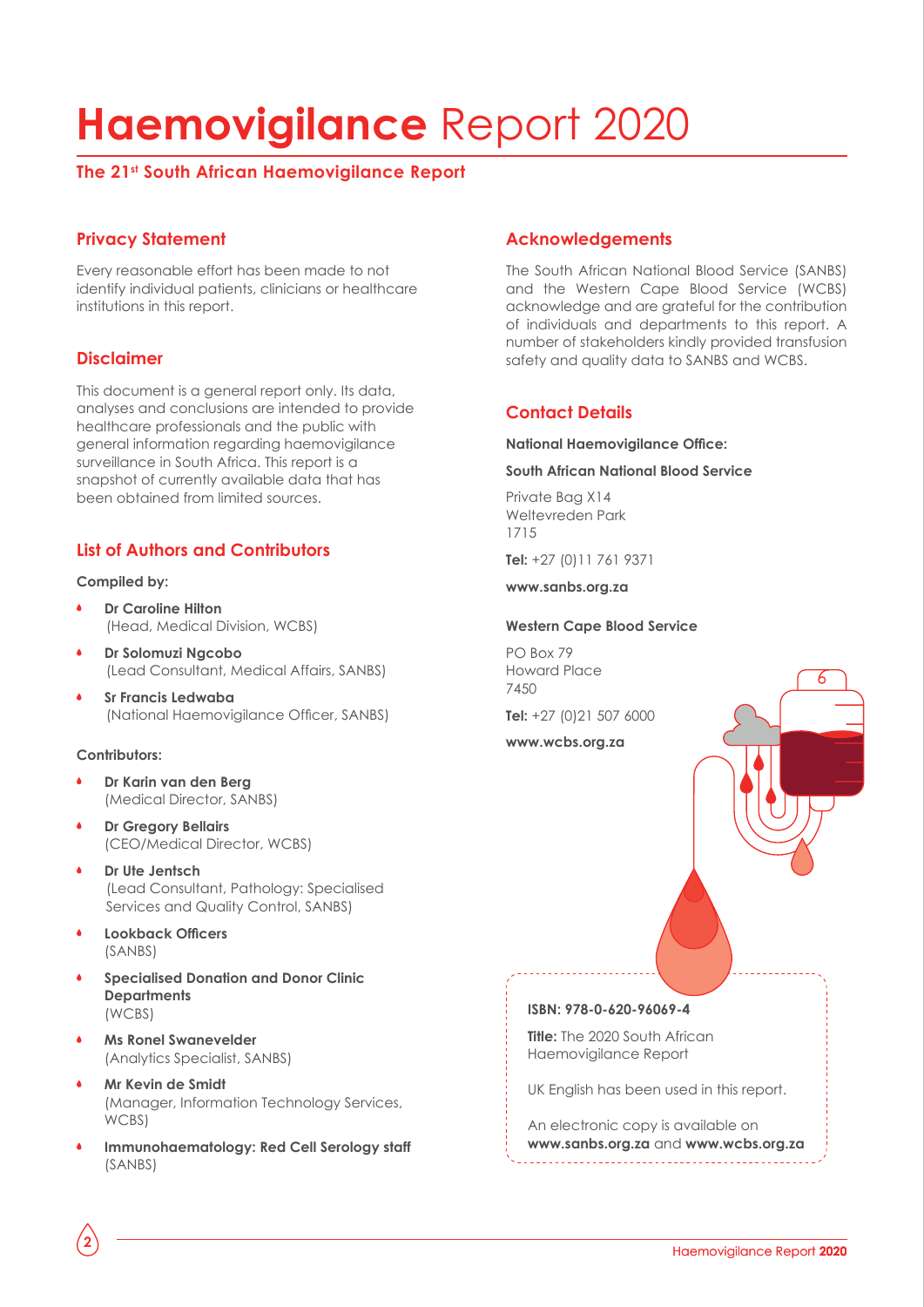## **Haemovigilance** Report 2020

#### **The 21st South African Haemovigilance Report**

#### **Privacy Statement**

Every reasonable effort has been made to not identify individual patients, clinicians or healthcare institutions in this report.

#### **Disclaimer**

This document is a general report only. Its data, analyses and conclusions are intended to provide healthcare professionals and the public with general information regarding haemovigilance surveillance in South Africa. This report is a snapshot of currently available data that has been obtained from limited sources.

#### **List of Authors and Contributors**

#### **Compiled by:**

- **Dr Caroline Hilton** (Head, Medical Division, WCBS)
- **Dr Solomuzi Ngcobo** (Lead Consultant, Medical Affairs, SANBS)
- **Sr Francis Ledwaba**  (National Haemovigilance Officer, SANBS)

#### **Contributors:**

- **Dr Karin van den Berg**  (Medical Director, SANBS)
- **Dr Gregory Bellairs**  (CEO/Medical Director, WCBS)
- **Dr Ute Jentsch**  (Lead Consultant, Pathology: Specialised Services and Quality Control, SANBS)
- **Lookback Officers**  (SANBS)

**2**

- **Specialised Donation and Donor Clinic Departments**  (WCBS)
- **Ms Ronel Swanevelder**  (Analytics Specialist, SANBS)
- **Mr Kevin de Smidt**  (Manager, Information Technology Services, WCBS)
- **Immunohaematology: Red Cell Serology staff**  (SANBS)

#### **Acknowledgements**

The South African National Blood Service (SANBS) and the Western Cape Blood Service (WCBS) acknowledge and are grateful for the contribution of individuals and departments to this report. A number of stakeholders kindly provided transfusion safety and quality data to SANBS and WCBS.

#### **Contact Details**

#### **National Haemovigilance Office:**

#### **South African National Blood Service**

Private Bag X14 Weltevreden Park 1715

**Tel:** +27 (0)11 761 9371

**www.sanbs.org.za**

#### **Western Cape Blood Service**

PO Box 79 Howard Place 7450

**Tel:** +27 (0)21 507 6000

**www.wcbs.org.za**

#### **ISBN: 978-0-620-96069-4**

**Title:** The 2020 South African Haemovigilance Report

UK English has been used in this report.

An electronic copy is available on **www.sanbs.org.za** and **www.wcbs.org.za**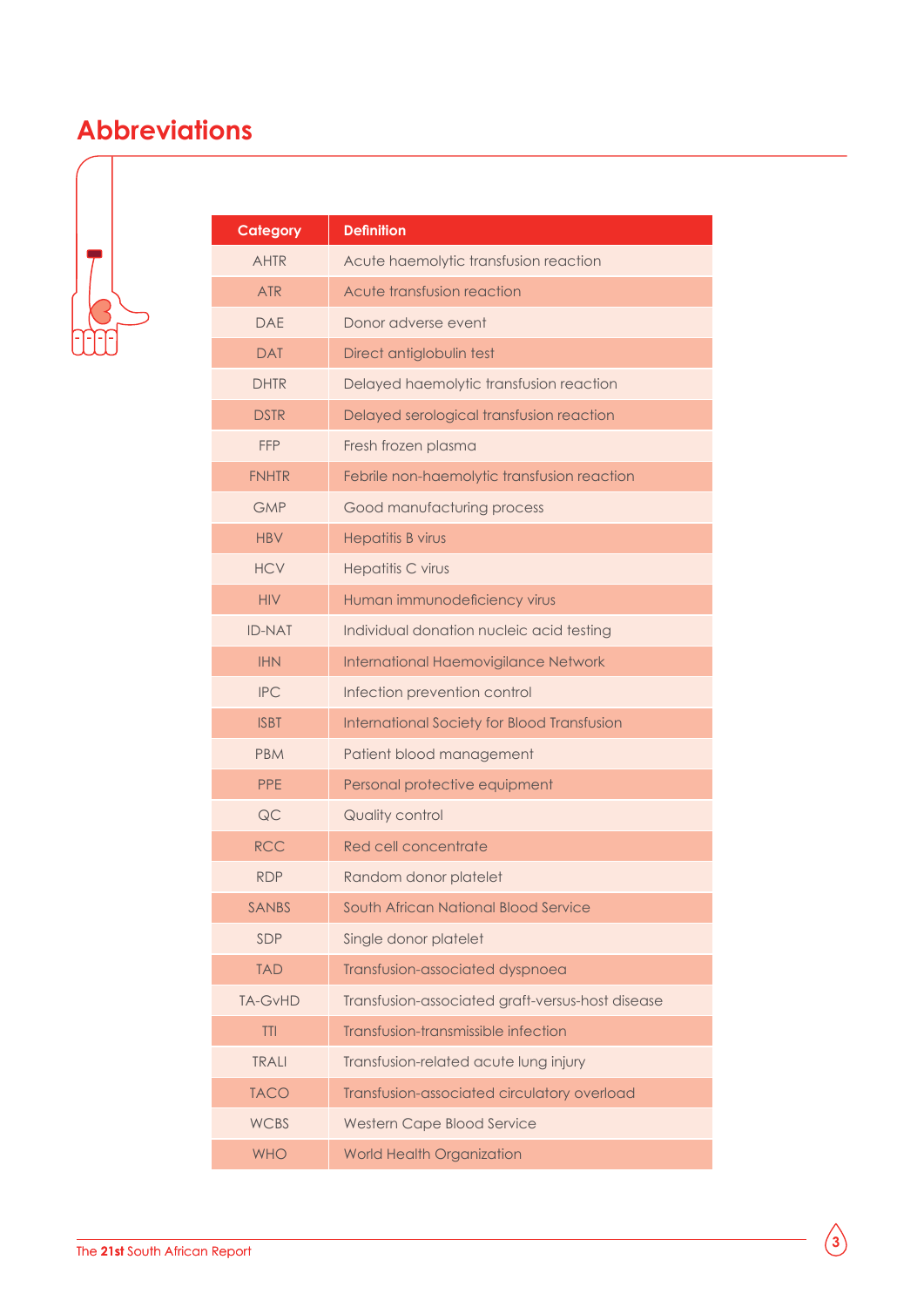### **Abbreviations**



| <b>Category</b> | <b>Definition</b>                                |
|-----------------|--------------------------------------------------|
| <b>AHTR</b>     | Acute haemolytic transfusion reaction            |
| <b>ATR</b>      | Acute transfusion reaction                       |
| <b>DAE</b>      | Donor adverse event                              |
| <b>DAT</b>      | Direct antiglobulin test                         |
| <b>DHTR</b>     | Delayed haemolytic transfusion reaction          |
| <b>DSTR</b>     | Delayed serological transfusion reaction         |
| <b>FFP</b>      | Fresh frozen plasma                              |
| <b>FNHTR</b>    | Febrile non-haemolytic transfusion reaction      |
| <b>GMP</b>      | Good manufacturing process                       |
| <b>HBV</b>      | Hepatitis B virus                                |
| <b>HCV</b>      | <b>Hepatitis C virus</b>                         |
| <b>HIV</b>      | Human immunodeficiency virus                     |
| <b>ID-NAT</b>   | Individual donation nucleic acid testing         |
| <b>IHN</b>      | International Haemovigilance Network             |
| <b>IPC</b>      | Infection prevention control                     |
| <b>ISBT</b>     | International Society for Blood Transfusion      |
| <b>PBM</b>      | Patient blood management                         |
| <b>PPE</b>      | Personal protective equipment                    |
| QC              | Quality control                                  |
| <b>RCC</b>      | Red cell concentrate                             |
| <b>RDP</b>      | Random donor platelet                            |
| <b>SANBS</b>    | South African National Blood Service             |
| SDP             | Single donor platelet                            |
| <b>TAD</b>      | Transfusion-associated dyspnoea                  |
| <b>TA-GvHD</b>  | Transfusion-associated graft-versus-host disease |
| TTI             | Transfusion-transmissible infection              |
| <b>TRALI</b>    | Transfusion-related acute lung injury            |
| <b>TACO</b>     | Transfusion-associated circulatory overload      |
| <b>WCBS</b>     | <b>Western Cape Blood Service</b>                |
| <b>WHO</b>      | <b>World Health Organization</b>                 |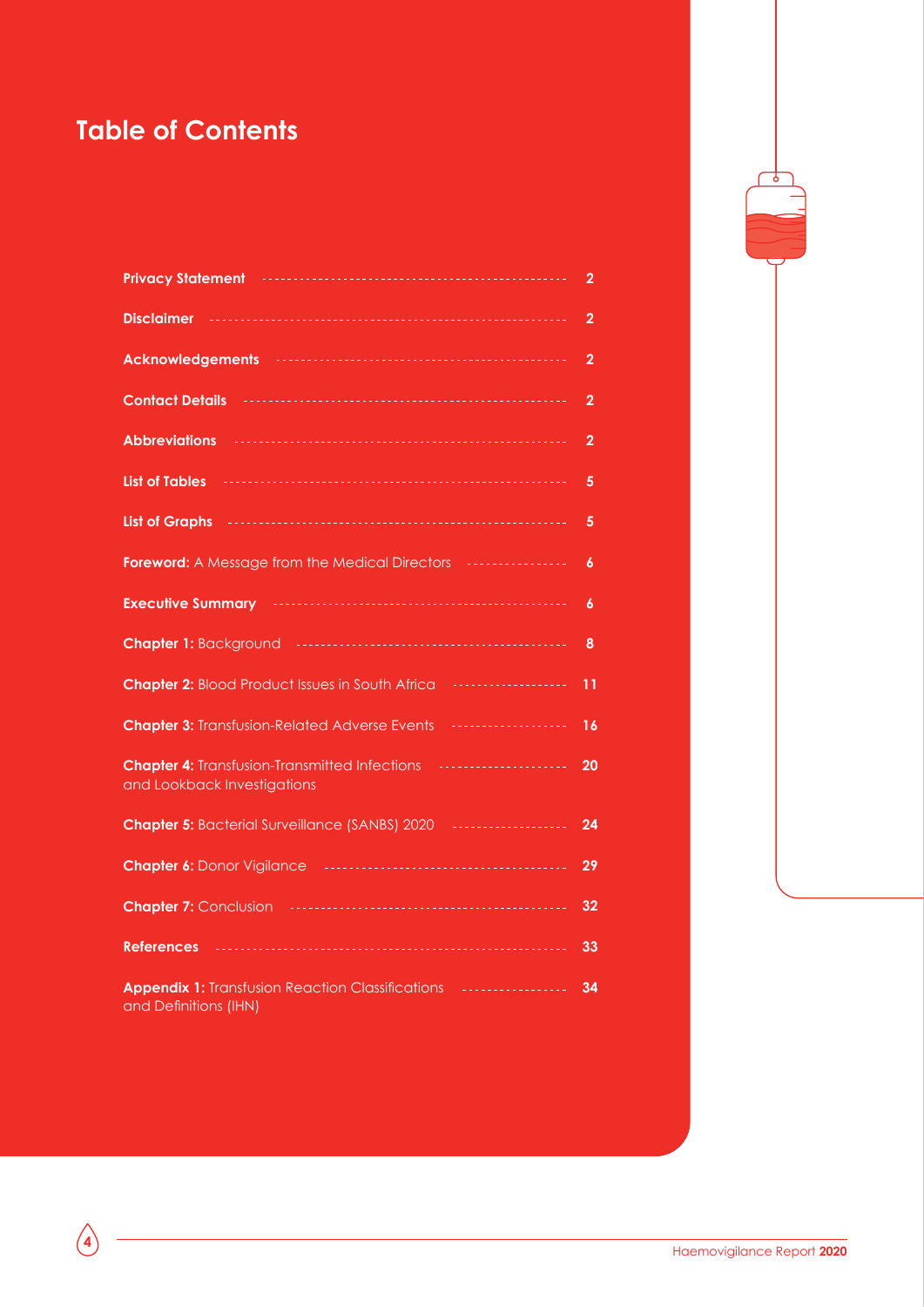### **Table of Contents**

| Privacy Statement <b>contract to the Contract of the Contract of Terminan Privacy</b>                                             | $\overline{2}$   |
|-----------------------------------------------------------------------------------------------------------------------------------|------------------|
|                                                                                                                                   | $\overline{2}$   |
|                                                                                                                                   | $\overline{2}$   |
| Contact Details <b>Material Contact Details</b>                                                                                   | $\overline{2}$   |
|                                                                                                                                   | $\overline{2}$   |
| List of Tables <b>Product Product of Tables</b>                                                                                   | 5                |
|                                                                                                                                   | $\overline{5}$   |
|                                                                                                                                   | $\boldsymbol{6}$ |
|                                                                                                                                   | 6                |
|                                                                                                                                   | 8                |
| Chapter 2: Blood Product Issues in South Africa <b>Chapter 2: Blood Product Issues</b> in South Africa                            | 11               |
| <b>Chapter 3: Transfusion-Related Adverse Events   </b>                                                                           | 16               |
| Chapter 4: Transfusion-Transmitted Infections <b>Chapter 4: Transfusion-Transmitted Infections</b><br>and Lookback Investigations | 20               |
|                                                                                                                                   | 24               |
|                                                                                                                                   | 29               |
|                                                                                                                                   | 32               |
| <b>References</b>                                                                                                                 | 33               |
| <b>Appendix 1: Transfusion Reaction Classifications   </b><br>and Definitions (IHN)                                               | 34               |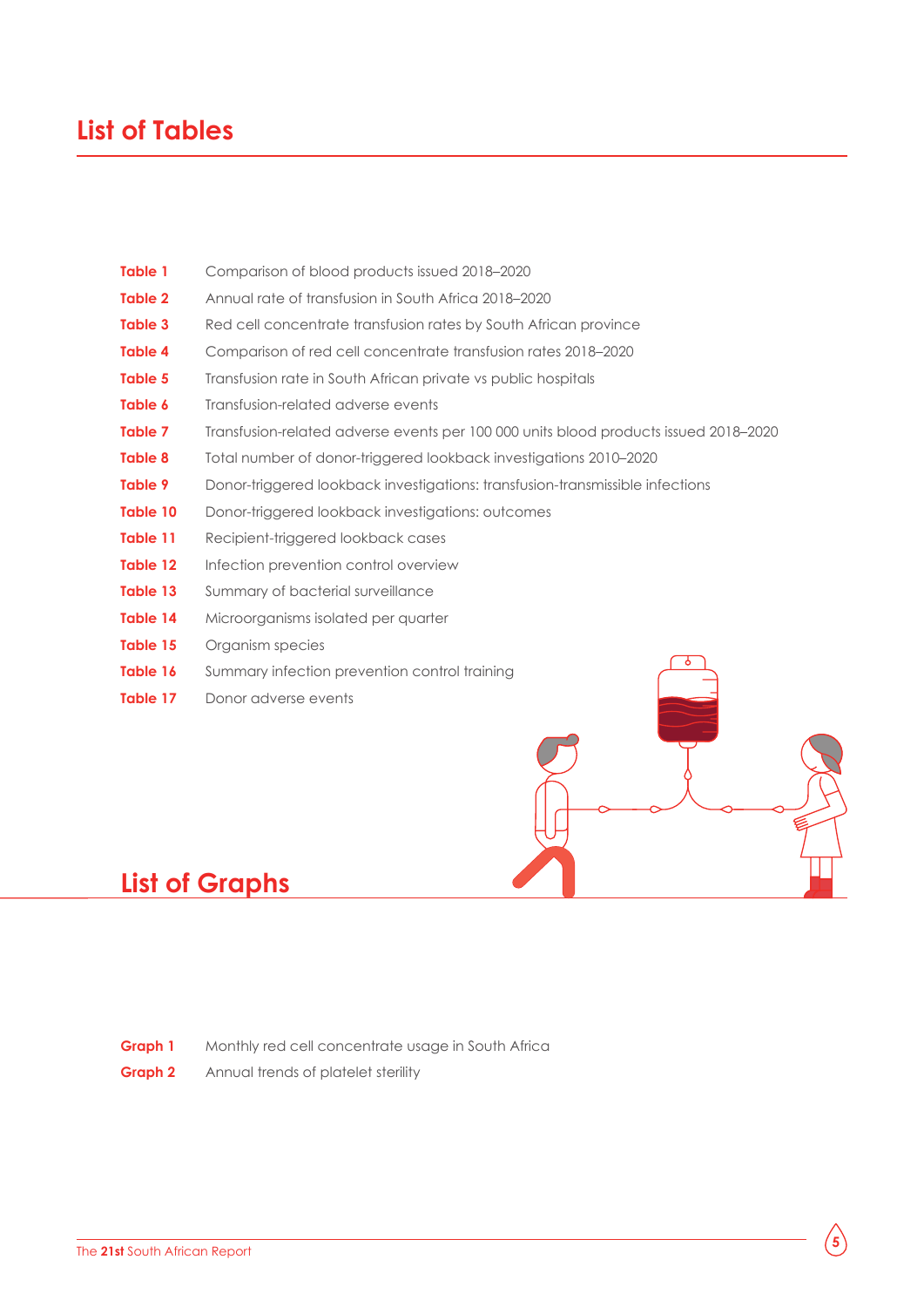### **List of Tables**

| Table 1        | Comparison of blood products issued 2018-2020                                        |  |  |  |  |  |  |
|----------------|--------------------------------------------------------------------------------------|--|--|--|--|--|--|
| Table 2        | Annual rate of transfusion in South Africa 2018-2020                                 |  |  |  |  |  |  |
| Table 3        | Red cell concentrate transfusion rates by South African province                     |  |  |  |  |  |  |
| Table 4        | Comparison of red cell concentrate transfusion rates 2018–2020                       |  |  |  |  |  |  |
| Table 5        | Transfusion rate in South African private vs public hospitals                        |  |  |  |  |  |  |
| Table 6        | Transfusion-related adverse events                                                   |  |  |  |  |  |  |
| Table 7        | Transfusion-related adverse events per 100 000 units blood products issued 2018-2020 |  |  |  |  |  |  |
| <b>Table 8</b> | Total number of donor-triggered lookback investigations 2010-2020                    |  |  |  |  |  |  |
| Table 9        | Donor-triggered lookback investigations: transfusion-transmissible infections        |  |  |  |  |  |  |
| Table 10       | Donor-triggered lookback investigations: outcomes                                    |  |  |  |  |  |  |
| Table 11       | Recipient-triggered lookback cases                                                   |  |  |  |  |  |  |
| Table 12       | Infection prevention control overview                                                |  |  |  |  |  |  |
| Table 13       | Summary of bacterial surveillance                                                    |  |  |  |  |  |  |
| Table 14       | Microorganisms isolated per quarter                                                  |  |  |  |  |  |  |
| Table 15       | Organism species                                                                     |  |  |  |  |  |  |
| Table 16       | Ò<br>Summary infection prevention control training                                   |  |  |  |  |  |  |
| Table 17       | Donor adverse events                                                                 |  |  |  |  |  |  |

## **List of Graphs**

**Graph 1** Monthly red cell concentrate usage in South Africa

**Graph 2** Annual trends of platelet sterility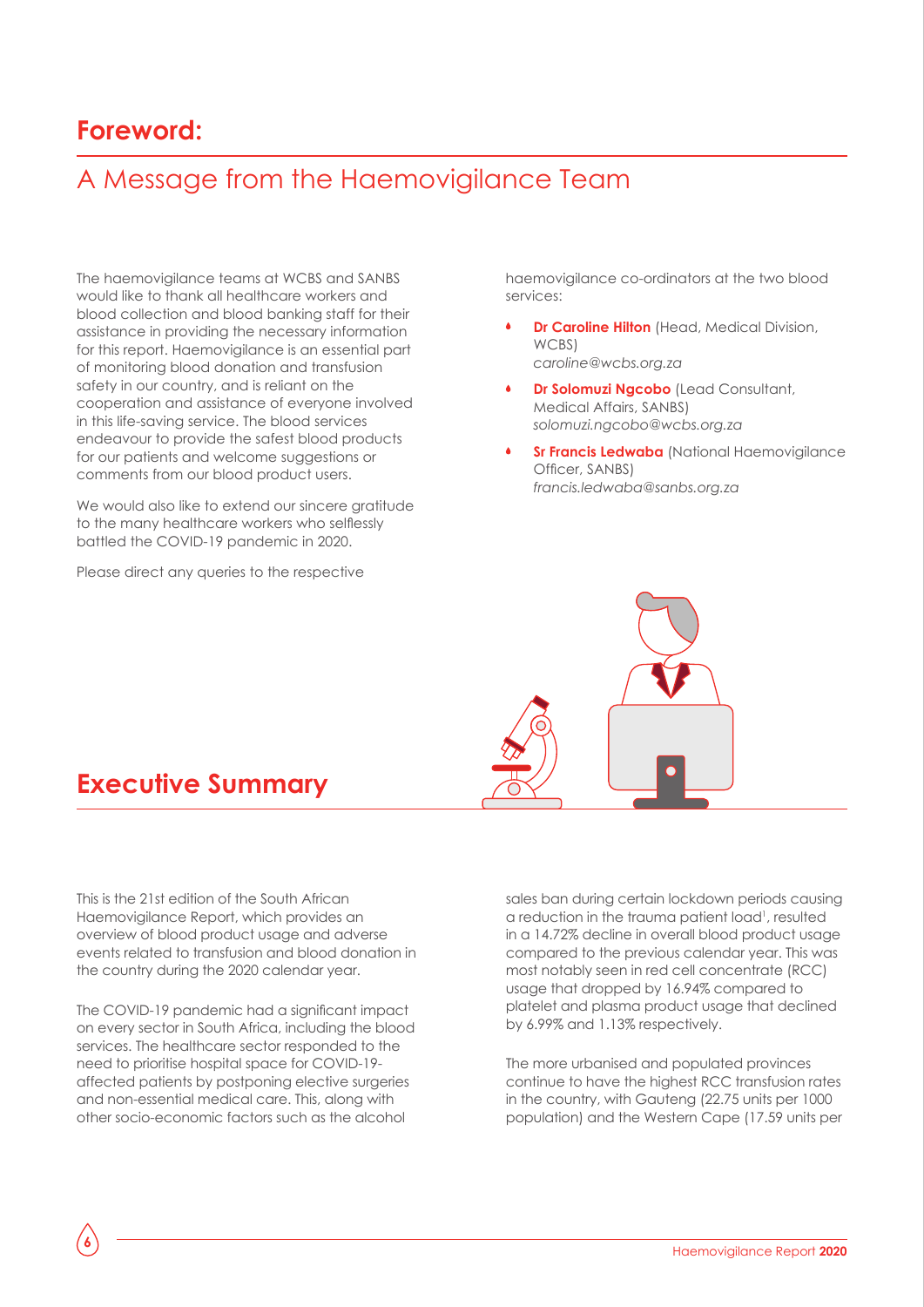### **Foreword:**

## A Message from the Haemovigilance Team

The haemovigilance teams at WCBS and SANBS would like to thank all healthcare workers and blood collection and blood banking staff for their assistance in providing the necessary information for this report. Haemovigilance is an essential part of monitoring blood donation and transfusion safety in our country, and is reliant on the cooperation and assistance of everyone involved in this life-saving service. The blood services endeavour to provide the safest blood products for our patients and welcome suggestions or comments from our blood product users.

We would also like to extend our sincere aratitude to the many healthcare workers who selflessly battled the COVID-19 pandemic in 2020.

Please direct any queries to the respective

haemovigilance co-ordinators at the two blood services:

- **Dr Caroline Hilton** (Head, Medical Division, WCBS) *caroline@wcbs.org.za*
- **Dr Solomuzi Ngcobo** (Lead Consultant, Medical Affairs, SANBS) *solomuzi.ngcobo@wcbs.org.za*
- **Sr Francis Ledwaba** (National Haemovigilance Officer, SANBS) *francis.ledwaba@sanbs.org.za*

### **Executive Summary**

This is the 21st edition of the South African Haemovigilance Report, which provides an overview of blood product usage and adverse events related to transfusion and blood donation in the country during the 2020 calendar year.

The COVID-19 pandemic had a significant impact on every sector in South Africa, including the blood services. The healthcare sector responded to the need to prioritise hospital space for COVID-19 affected patients by postponing elective surgeries and non-essential medical care. This, along with other socio-economic factors such as the alcohol

**6**

sales ban during certain lockdown periods causing a reduction in the trauma patient load<sup>1</sup>, resulted in a 14.72% decline in overall blood product usage compared to the previous calendar year. This was most notably seen in red cell concentrate (RCC) usage that dropped by 16.94% compared to platelet and plasma product usage that declined by 6.99% and 1.13% respectively.

The more urbanised and populated provinces continue to have the highest RCC transfusion rates in the country, with Gauteng (22.75 units per 1000 population) and the Western Cape (17.59 units per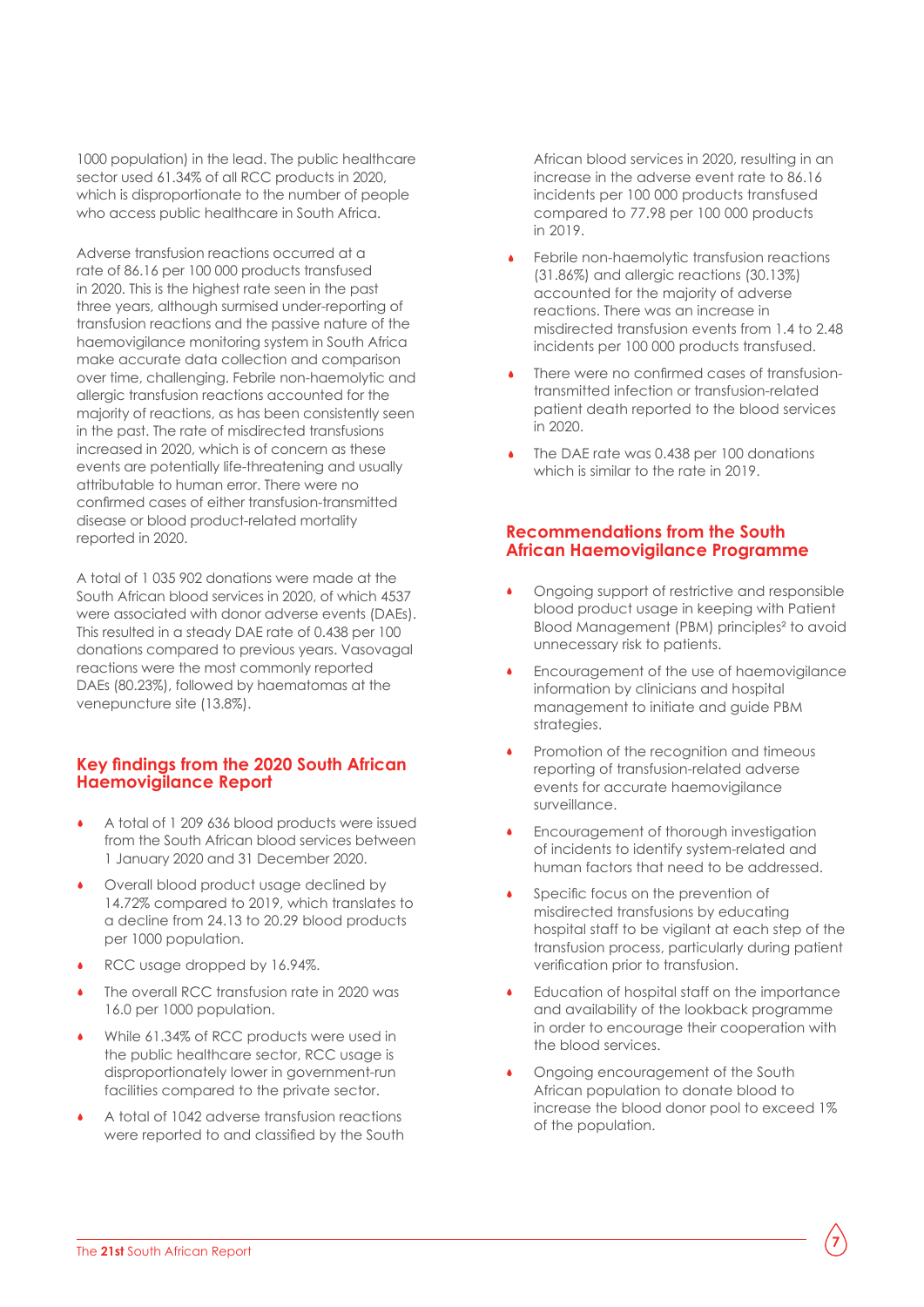1000 population) in the lead. The public healthcare sector used 61.34% of all RCC products in 2020, which is disproportionate to the number of people who access public healthcare in South Africa.

Adverse transfusion reactions occurred at a rate of 86.16 per 100 000 products transfused in 2020. This is the highest rate seen in the past three years, although surmised under-reporting of transfusion reactions and the passive nature of the haemovigilance monitoring system in South Africa make accurate data collection and comparison over time, challenging. Febrile non-haemolytic and allergic transfusion reactions accounted for the majority of reactions, as has been consistently seen in the past. The rate of misdirected transfusions increased in 2020, which is of concern as these events are potentially life-threatening and usually attributable to human error. There were no confirmed cases of either transfusion-transmitted disease or blood product-related mortality reported in 2020.

A total of 1 035 902 donations were made at the South African blood services in 2020, of which 4537 were associated with donor adverse events (DAEs). This resulted in a steady DAE rate of 0.438 per 100 donations compared to previous years. Vasovagal reactions were the most commonly reported DAEs (80.23%), followed by haematomas at the venepuncture site (13.8%).

#### **Key findings from the 2020 South African Haemovigilance Report**

- A total of 1 209 636 blood products were issued from the South African blood services between 1 January 2020 and 31 December 2020.
- Overall blood product usage declined by 14.72% compared to 2019, which translates to a decline from 24.13 to 20.29 blood products per 1000 population.
- RCC usage dropped by 16.94%.
- The overall RCC transfusion rate in 2020 was 16.0 per 1000 population.
- While 61.34% of RCC products were used in the public healthcare sector, RCC usage is disproportionately lower in government-run facilities compared to the private sector.
- A total of 1042 adverse transfusion reactions were reported to and classified by the South

African blood services in 2020, resulting in an increase in the adverse event rate to 86.16 incidents per 100 000 products transfused compared to 77.98 per 100 000 products in 2019.

- Febrile non-haemolytic transfusion reactions (31.86%) and allergic reactions (30.13%) accounted for the majority of adverse reactions. There was an increase in misdirected transfusion events from 1.4 to 2.48 incidents per 100 000 products transfused.
- There were no confirmed cases of transfusiontransmitted infection or transfusion-related patient death reported to the blood services in 2020.
- The DAE rate was 0.438 per 100 donations which is similar to the rate in 2019

#### **Recommendations from the South African Haemovigilance Programme**

- Ongoing support of restrictive and responsible blood product usage in keeping with Patient Blood Management (PBM) principles² to avoid unnecessary risk to patients.
- Encouragement of the use of haemovigilance information by clinicians and hospital management to initiate and guide PBM strategies.
- Promotion of the recognition and timeous reporting of transfusion-related adverse events for accurate haemovigilance surveillance.
- Encouragement of thorough investigation of incidents to identify system-related and human factors that need to be addressed.
- Specific focus on the prevention of misdirected transfusions by educating hospital staff to be vigilant at each step of the transfusion process, particularly during patient verification prior to transfusion.
- Education of hospital staff on the importance and availability of the lookback programme in order to encourage their cooperation with the blood services.
- Ongoing encouragement of the South African population to donate blood to increase the blood donor pool to exceed 1% of the population.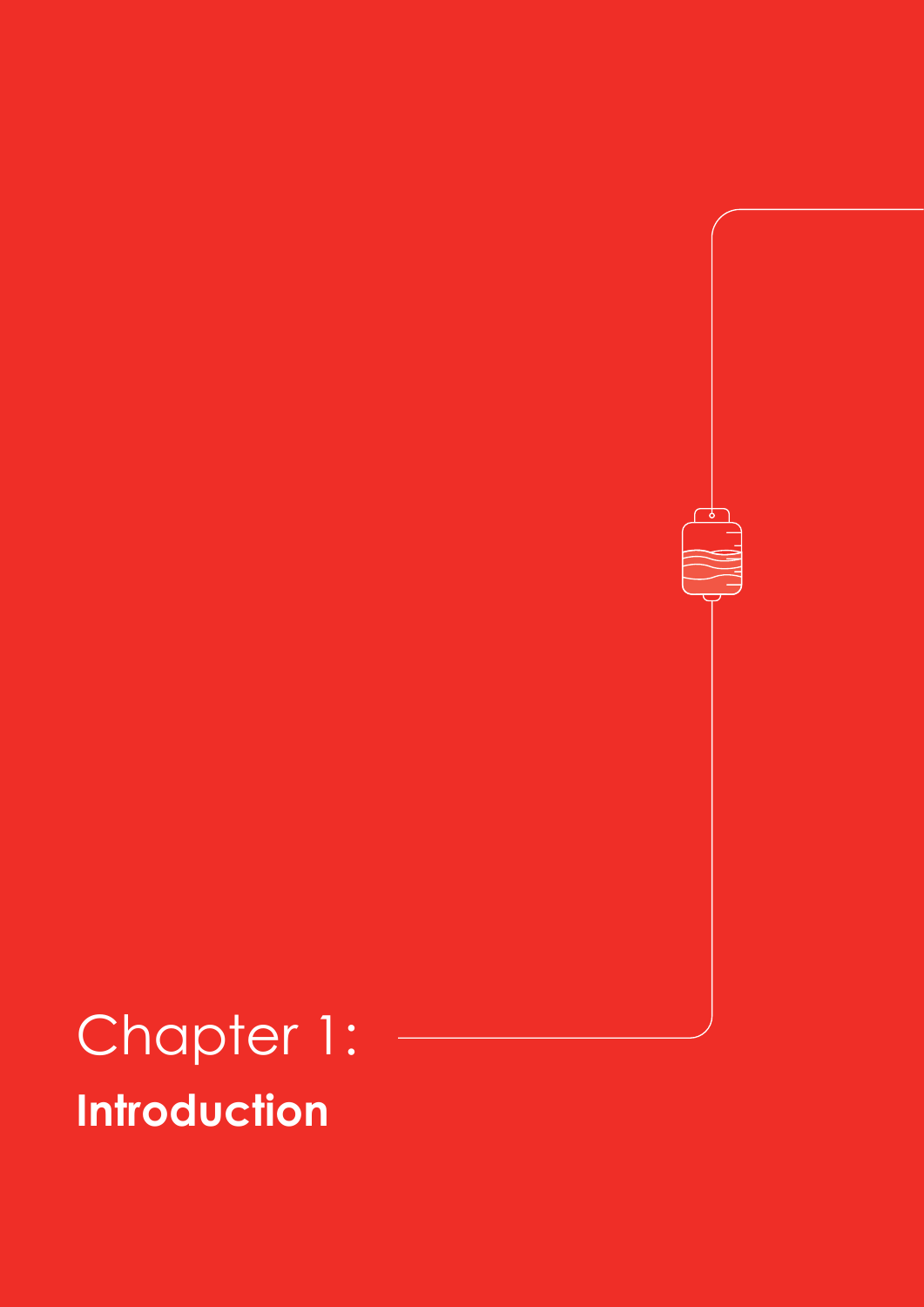## Chapter 1: **Introduction**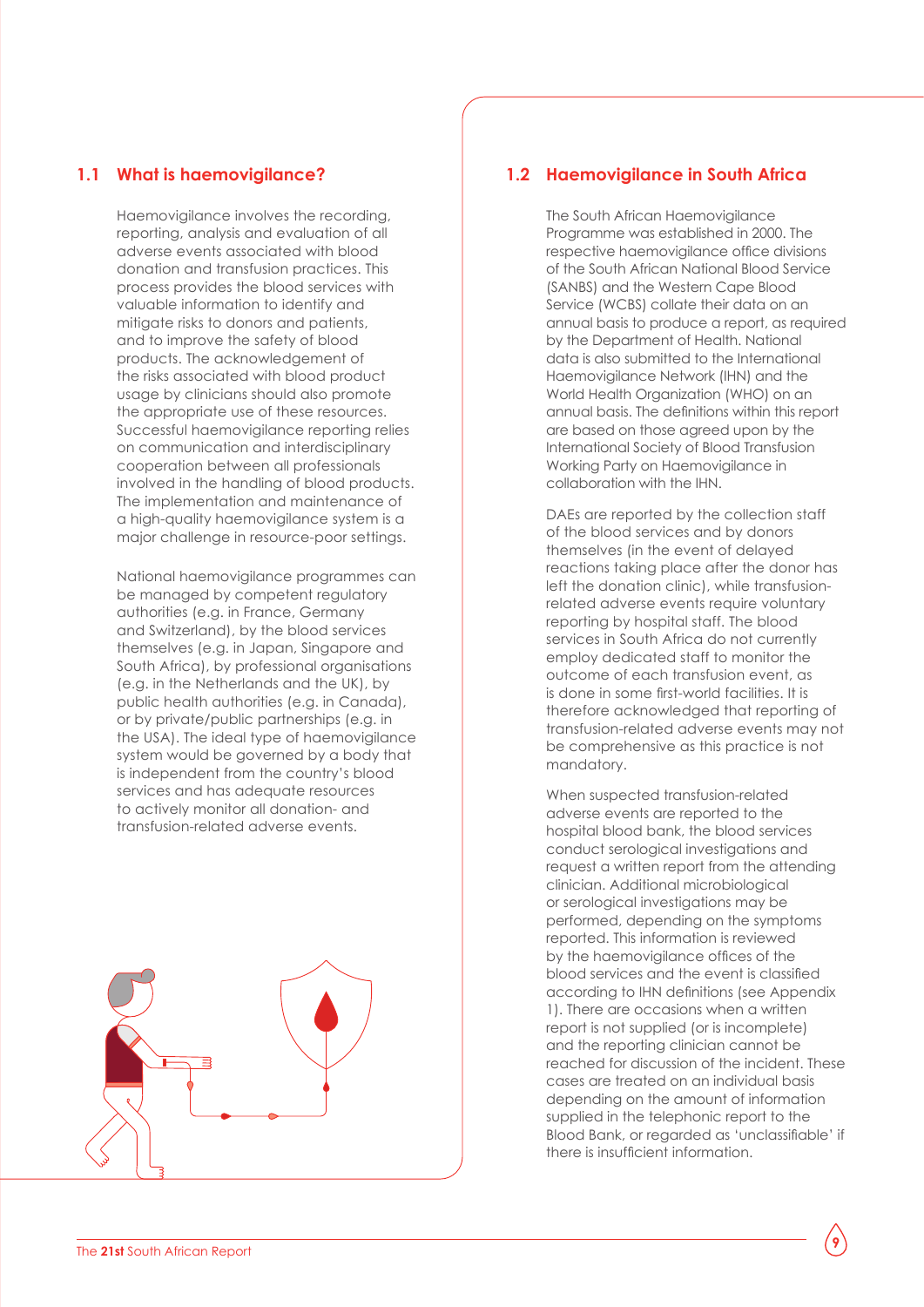#### **1.1 What is haemovigilance?**

Haemovigilance involves the recording, reporting, analysis and evaluation of all adverse events associated with blood donation and transfusion practices. This process provides the blood services with valuable information to identify and mitigate risks to donors and patients, and to improve the safety of blood products. The acknowledgement of the risks associated with blood product usage by clinicians should also promote the appropriate use of these resources. Successful haemovigilance reporting relies on communication and interdisciplinary cooperation between all professionals involved in the handling of blood products. The implementation and maintenance of a high-quality haemovigilance system is a major challenge in resource-poor settings.

National haemovigilance programmes can be managed by competent regulatory authorities (e.g. in France, Germany and Switzerland), by the blood services themselves (e.g. in Japan, Singapore and South Africa), by professional organisations (e.g. in the Netherlands and the UK), by public health authorities (e.g. in Canada), or by private/public partnerships (e.g. in the USA). The ideal type of haemovigilance system would be governed by a body that is independent from the country's blood services and has adequate resources to actively monitor all donation- and transfusion-related adverse events.



#### **1.2 Haemovigilance in South Africa**

The South African Haemovigilance Programme was established in 2000. The respective haemovigilance office divisions of the South African National Blood Service (SANBS) and the Western Cape Blood Service (WCBS) collate their data on an annual basis to produce a report, as required by the Department of Health. National data is also submitted to the International Haemovigilance Network (IHN) and the World Health Organization (WHO) on an annual basis. The definitions within this report are based on those agreed upon by the International Society of Blood Transfusion Working Party on Haemovigilance in collaboration with the IHN.

DAEs are reported by the collection staff of the blood services and by donors themselves (in the event of delayed reactions taking place after the donor has left the donation clinic), while transfusionrelated adverse events require voluntary reporting by hospital staff. The blood services in South Africa do not currently employ dedicated staff to monitor the outcome of each transfusion event, as is done in some first-world facilities. It is therefore acknowledged that reporting of transfusion-related adverse events may not be comprehensive as this practice is not mandatory.

When suspected transfusion-related adverse events are reported to the hospital blood bank, the blood services conduct serological investigations and request a written report from the attending clinician. Additional microbiological or serological investigations may be performed, depending on the symptoms reported. This information is reviewed by the haemovigilance offices of the blood services and the event is classified according to IHN definitions (see Appendix 1). There are occasions when a written report is not supplied (or is incomplete) and the reporting clinician cannot be reached for discussion of the incident. These cases are treated on an individual basis depending on the amount of information supplied in the telephonic report to the Blood Bank, or regarded as 'unclassifiable' if there is insufficient information.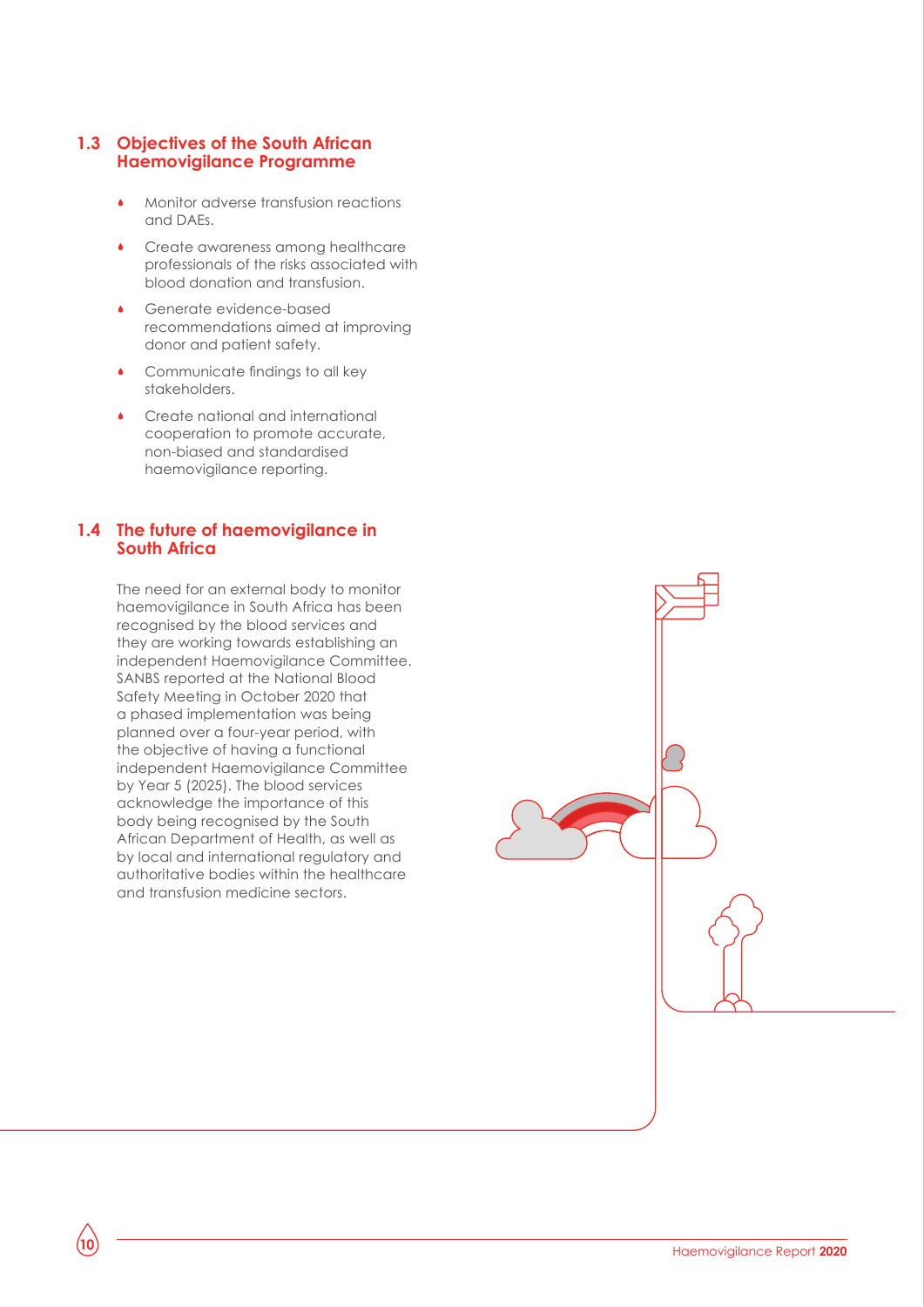#### **1.3 Objectives of the South African Haemovigilance Programme**

- Monitor adverse transfusion reactions and DAEs.
- Create awareness among healthcare professionals of the risks associated with blood donation and transfusion.
- Generate evidence-based recommendations aimed at improving donor and patient safety.
- Communicate findings to all key stakeholders.
- Create national and international cooperation to promote accurate, non-biased and standardised haemovigilance reporting.

#### **1.4 The future of haemovigilance in South Africa**

The need for an external body to monitor haemovigilance in South Africa has been recognised by the blood services and they are working towards establishing an independent Haemovigilance Committee. SANBS reported at the National Blood Safety Meeting in October 2020 that a phased implementation was being planned over a four-year period, with the objective of having a functional independent Haemovigilance Committee by Year 5 (2025). The blood services acknowledge the importance of this body being recognised by the South African Department of Health, as well as by local and international regulatory and authoritative bodies within the healthcare and transfusion medicine sectors.

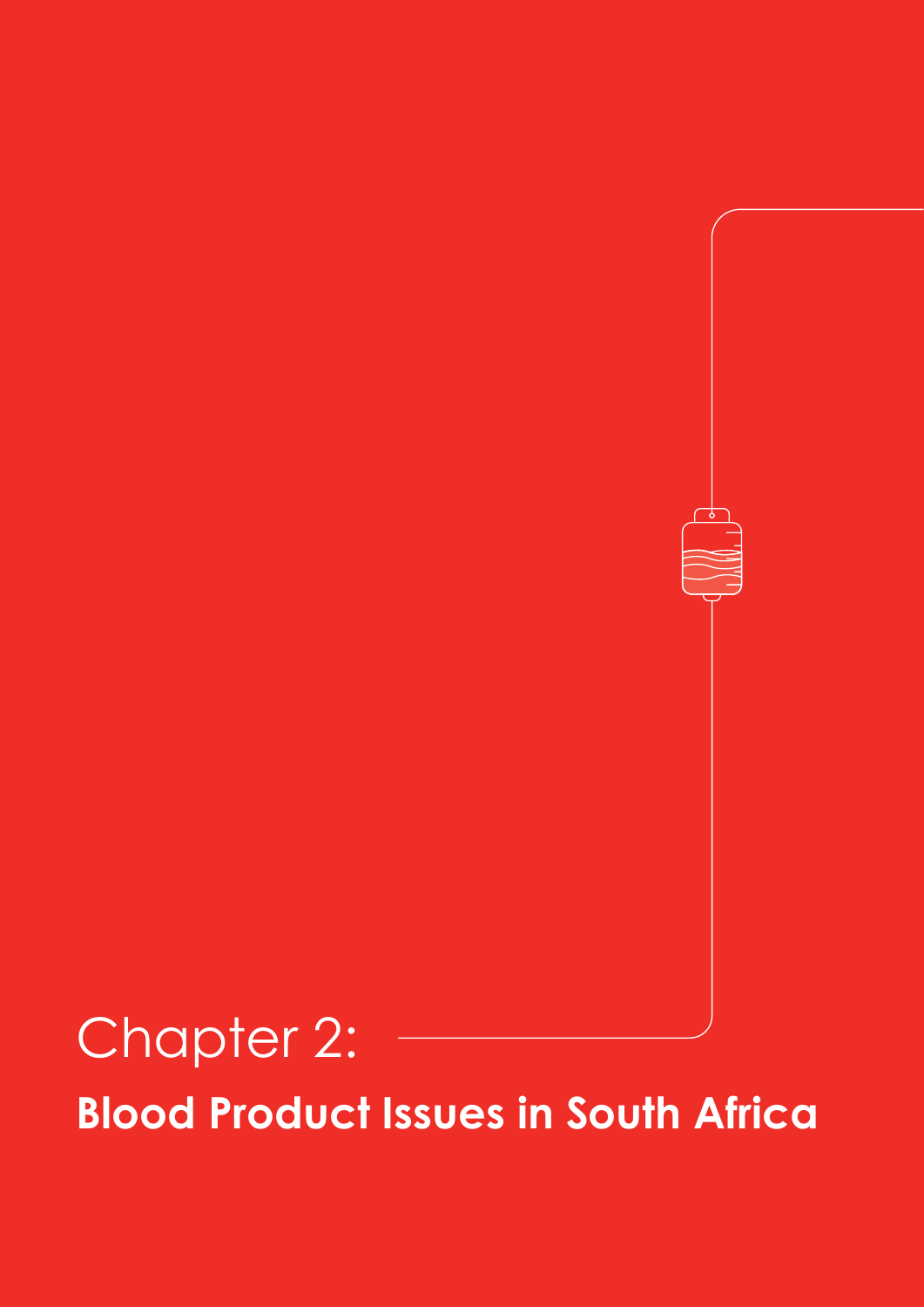## Chapter 2: **Blood Product Issues in South Africa**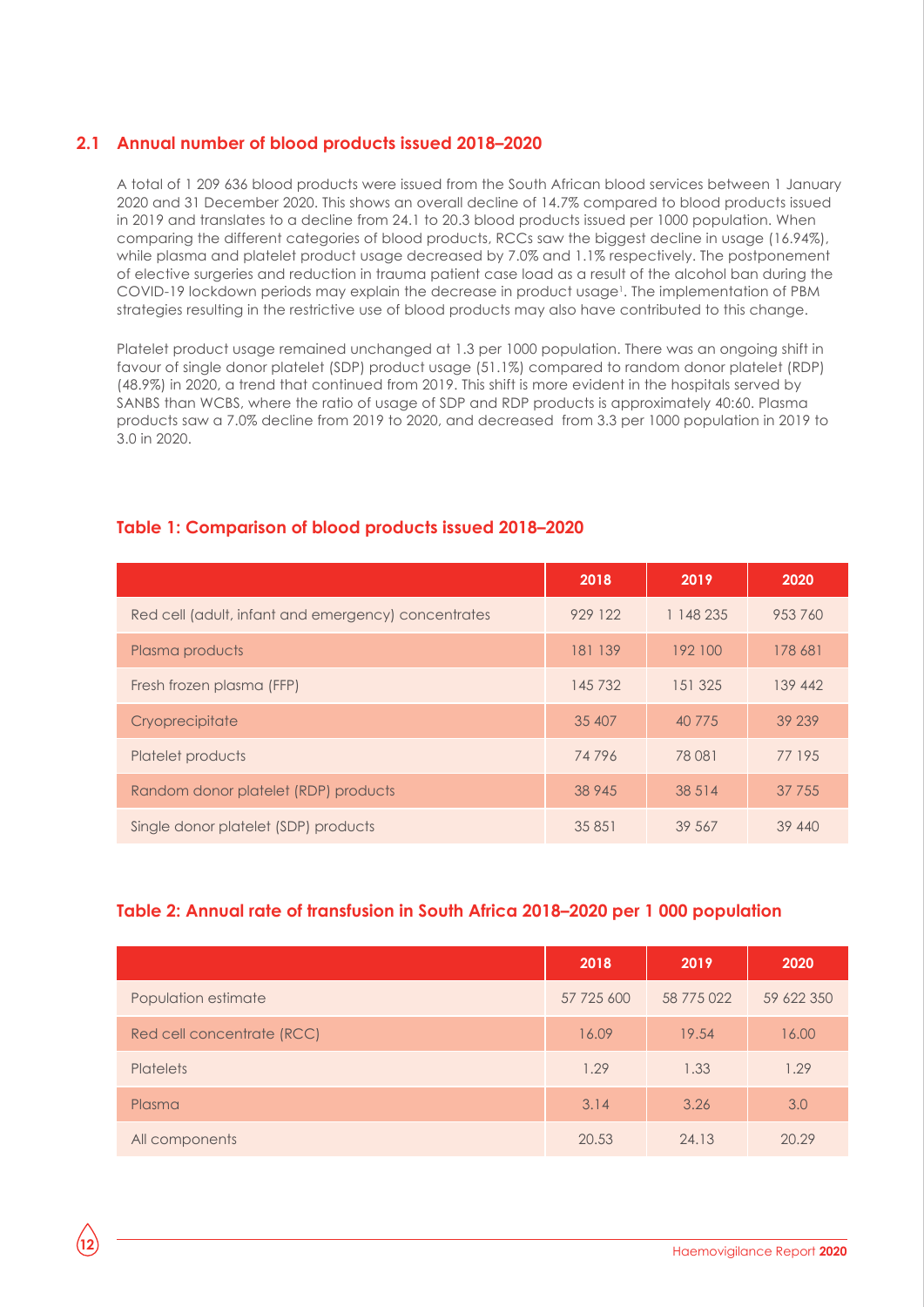#### **2.1 Annual number of blood products issued 2018–2020**

A total of 1 209 636 blood products were issued from the South African blood services between 1 January 2020 and 31 December 2020. This shows an overall decline of 14.7% compared to blood products issued in 2019 and translates to a decline from 24.1 to 20.3 blood products issued per 1000 population. When comparing the different categories of blood products, RCCs saw the biggest decline in usage (16.94%), while plasma and platelet product usage decreased by 7.0% and 1.1% respectively. The postponement of elective surgeries and reduction in trauma patient case load as a result of the alcohol ban during the COVID-19 lockdown periods may explain the decrease in product usage<sup>1</sup>. The implementation of PBM strategies resulting in the restrictive use of blood products may also have contributed to this change.

Platelet product usage remained unchanged at 1.3 per 1000 population. There was an ongoing shift in favour of single donor platelet (SDP) product usage (51.1%) compared to random donor platelet (RDP) (48.9%) in 2020, a trend that continued from 2019. This shift is more evident in the hospitals served by SANBS than WCBS, where the ratio of usage of SDP and RDP products is approximately 40:60. Plasma products saw a 7.0% decline from 2019 to 2020, and decreased from 3.3 per 1000 population in 2019 to 3.0 in 2020.

#### **Table 1: Comparison of blood products issued 2018–2020**

|                                                     | 2018    | 2019      | 2020    |
|-----------------------------------------------------|---------|-----------|---------|
| Red cell (adult, infant and emergency) concentrates | 929 122 | 1 148 235 | 953760  |
| Plasma products                                     | 181 139 | 192 100   | 178 681 |
| Fresh frozen plasma (FFP)                           | 145 732 | 151 325   | 139 442 |
| Cryoprecipitate                                     | 35 407  | 40 775    | 39 239  |
| Platelet products                                   | 74796   | 78 081    | 77 195  |
| Random donor platelet (RDP) products                | 38 945  | 38 5 14   | 37 755  |
| Single donor platelet (SDP) products                | 35 851  | 39 567    | 39 440  |

#### **Table 2: Annual rate of transfusion in South Africa 2018–2020 per 1 000 population**

|                            | 2018       | 2019       | 2020       |
|----------------------------|------------|------------|------------|
| Population estimate        | 57 725 600 | 58 775 022 | 59 622 350 |
| Red cell concentrate (RCC) | 16.09      | 19.54      | 16.00      |
| <b>Platelets</b>           | 1.29       | 1.33       | 1.29       |
| Plasma                     | 3.14       | 3.26       | 3.0        |
| All components             | 20.53      | 24.13      | 20.29      |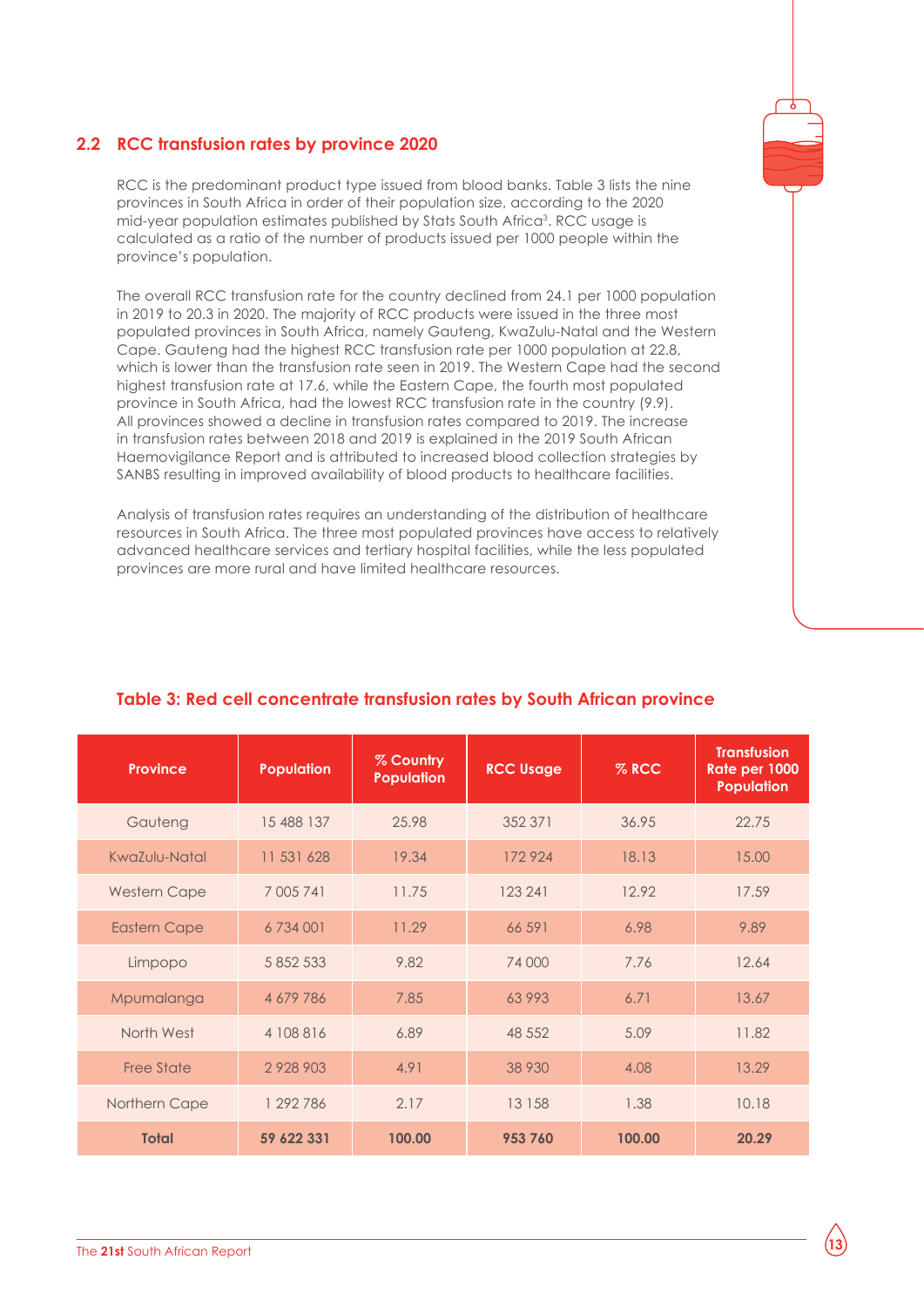#### **2.2 RCC transfusion rates by province 2020**

RCC is the predominant product type issued from blood banks. Table 3 lists the nine provinces in South Africa in order of their population size, according to the 2020 mid-year population estimates published by Stats South Africa<sup>3</sup>. RCC usage is calculated as a ratio of the number of products issued per 1000 people within the province's population.

The overall RCC transfusion rate for the country declined from 24.1 per 1000 population in 2019 to 20.3 in 2020. The majority of RCC products were issued in the three most populated provinces in South Africa, namely Gauteng, KwaZulu-Natal and the Western Cape. Gauteng had the highest RCC transfusion rate per 1000 population at 22.8, which is lower than the transfusion rate seen in 2019. The Western Cape had the second highest transfusion rate at 17.6, while the Eastern Cape, the fourth most populated province in South Africa, had the lowest RCC transfusion rate in the country (9.9). All provinces showed a decline in transfusion rates compared to 2019. The increase in transfusion rates between 2018 and 2019 is explained in the 2019 South African Haemovigilance Report and is attributed to increased blood collection strategies by SANBS resulting in improved availability of blood products to healthcare facilities.

Analysis of transfusion rates requires an understanding of the distribution of healthcare resources in South Africa. The three most populated provinces have access to relatively advanced healthcare services and tertiary hospital facilities, while the less populated provinces are more rural and have limited healthcare resources.

| <b>Province</b>     | <b>Population</b> | % Country<br><b>Population</b> | <b>RCC Usage</b> | $%$ RCC | <b>Transfusion</b><br>Rate per 1000<br><b>Population</b> |
|---------------------|-------------------|--------------------------------|------------------|---------|----------------------------------------------------------|
| Gauteng             | 15 488 137        | 25.98                          | 352 371          | 36.95   | 22.75                                                    |
| KwaZulu-Natal       | 11 531 628        | 19.34                          | 172924           | 18.13   | 15.00                                                    |
| <b>Western Cape</b> | 7 005 741         | 11.75                          | 123 241          | 12.92   | 17.59                                                    |
| <b>Eastern Cape</b> | 6 734 001         | 11.29                          | 66 591           | 6.98    | 9.89                                                     |
| Limpopo             | 5 852 533         | 9.82                           | 74 000           | 7.76    | 12.64                                                    |
| Mpumalanga          | 4 679 786         | 7.85                           | 63993            | 6.71    | 13.67                                                    |
| North West          | 4 108 816         | 6.89                           | 48 552           | 5.09    | 11.82                                                    |
| <b>Free State</b>   | 2 9 2 8 9 0 3     | 4.91                           | 38 930           | 4.08    | 13.29                                                    |
| Northern Cape       | 1 292 786         | 2.17                           | 13 158           | 1.38    | 10.18                                                    |
| <b>Total</b>        | 59 622 331        | 100.00                         | 953 760          | 100.00  | 20.29                                                    |

#### **Table 3: Red cell concentrate transfusion rates by South African province**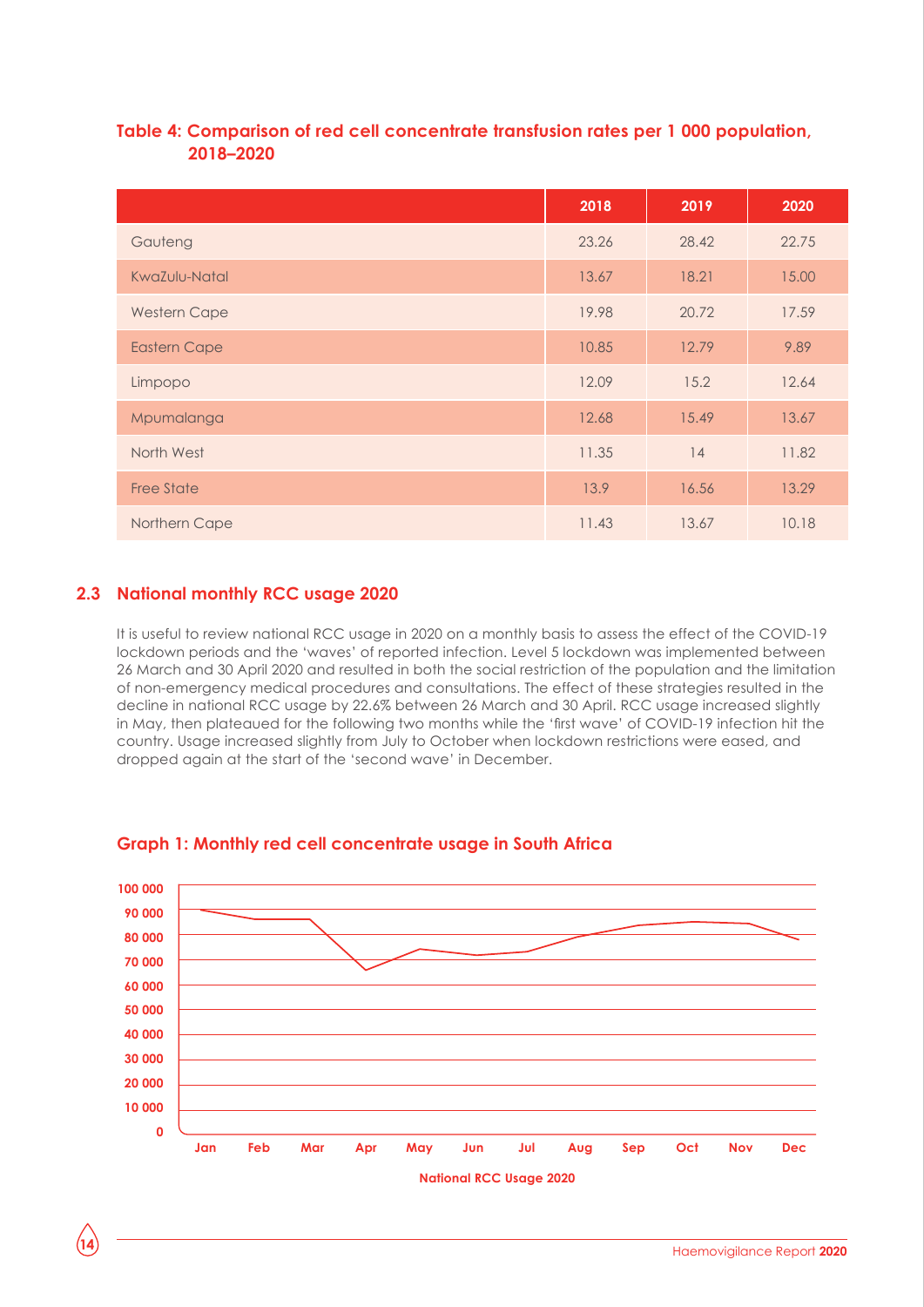#### **Table 4: Comparison of red cell concentrate transfusion rates per 1 000 population, 2018–2020**

|                      | 2018  | 2019  | 2020  |
|----------------------|-------|-------|-------|
| Gauteng              | 23.26 | 28.42 | 22.75 |
| <b>KwaZulu-Natal</b> | 13.67 | 18.21 | 15.00 |
| <b>Western Cape</b>  | 19.98 | 20.72 | 17.59 |
| <b>Eastern Cape</b>  | 10.85 | 12.79 | 9.89  |
| Limpopo              | 12.09 | 15.2  | 12.64 |
| Mpumalanga           | 12.68 | 15.49 | 13.67 |
| North West           | 11.35 | 14    | 11.82 |
| <b>Free State</b>    | 13.9  | 16.56 | 13.29 |
| Northern Cape        | 11.43 | 13.67 | 10.18 |

#### **2.3 National monthly RCC usage 2020**

It is useful to review national RCC usage in 2020 on a monthly basis to assess the effect of the COVID-19 lockdown periods and the 'waves' of reported infection. Level 5 lockdown was implemented between 26 March and 30 April 2020 and resulted in both the social restriction of the population and the limitation of non-emergency medical procedures and consultations. The effect of these strategies resulted in the decline in national RCC usage by 22.6% between 26 March and 30 April. RCC usage increased slightly in May, then plateaued for the following two months while the 'first wave' of COVID-19 infection hit the country. Usage increased slightly from July to October when lockdown restrictions were eased, and dropped again at the start of the 'second wave' in December.



#### **Graph 1: Monthly red cell concentrate usage in South Africa**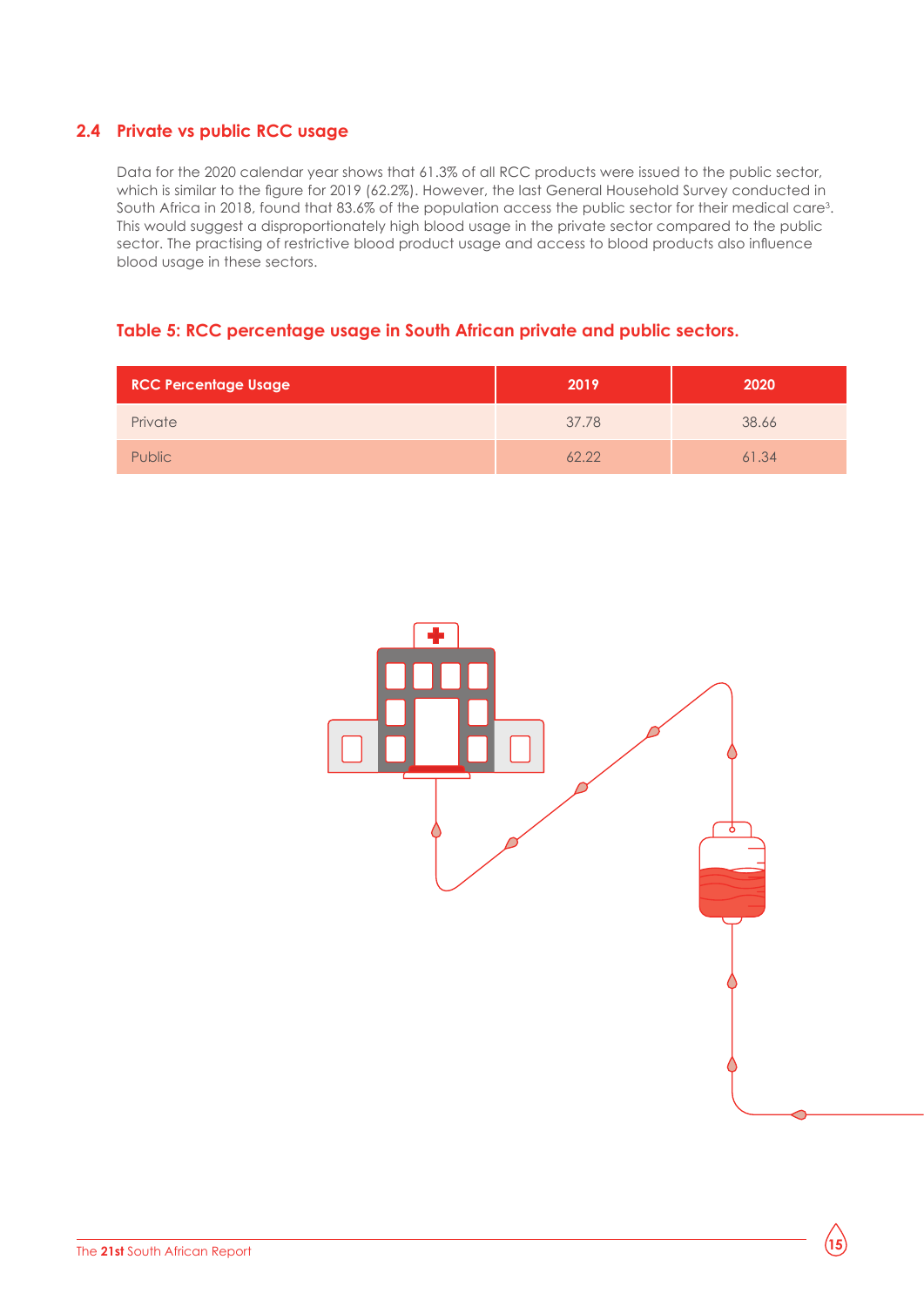#### **2.4 Private vs public RCC usage**

Data for the 2020 calendar year shows that 61.3% of all RCC products were issued to the public sector, which is similar to the figure for 2019 (62.2%). However, the last General Household Survey conducted in South Africa in 2018, found that 83.6% of the population access the public sector for their medical care<sup>3</sup>. This would suggest a disproportionately high blood usage in the private sector compared to the public sector. The practising of restrictive blood product usage and access to blood products also influence blood usage in these sectors.

#### **Table 5: RCC percentage usage in South African private and public sectors.**

| <b>RCC Percentage Usage</b> | 2019  | 2020  |
|-----------------------------|-------|-------|
| Private                     | 37.78 | 38.66 |
| <b>Public</b>               | 62.22 | 61.34 |

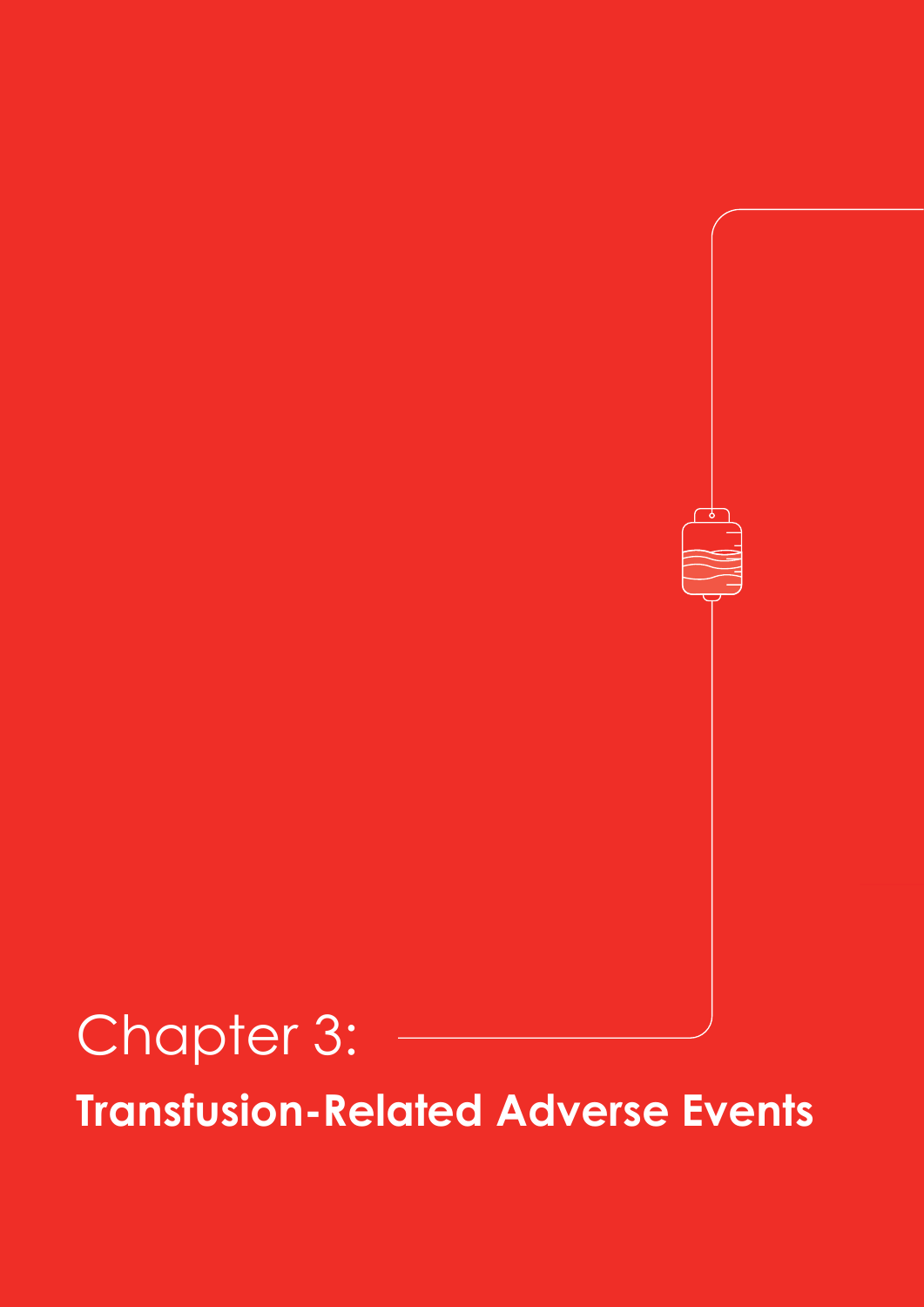## Chapter 3: **Transfusion-Related Adverse Events**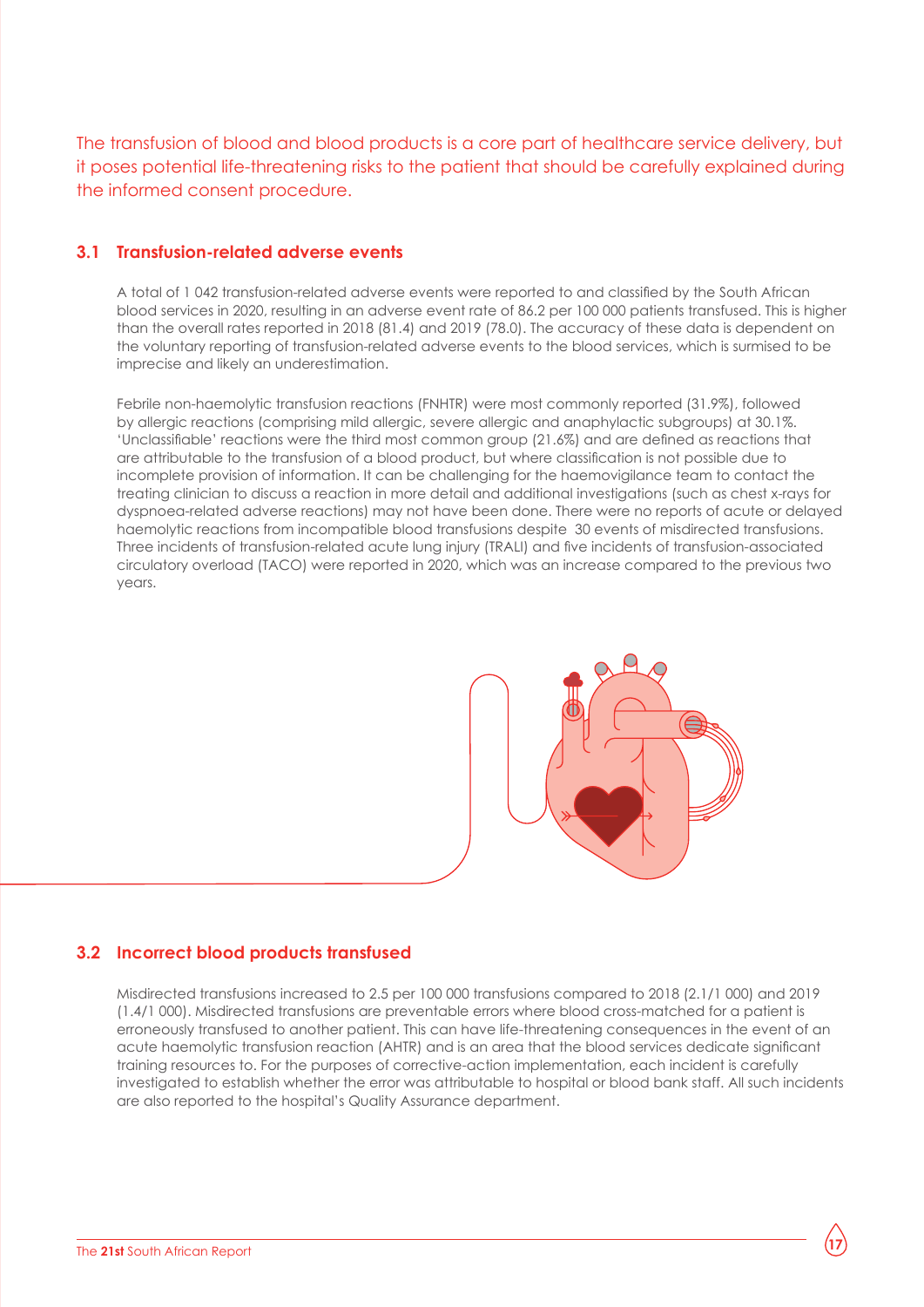The transfusion of blood and blood products is a core part of healthcare service delivery, but it poses potential life-threatening risks to the patient that should be carefully explained during the informed consent procedure.

#### **3.1 Transfusion-related adverse events**

A total of 1 042 transfusion-related adverse events were reported to and classified by the South African blood services in 2020, resulting in an adverse event rate of 86.2 per 100 000 patients transfused. This is higher than the overall rates reported in 2018 (81.4) and 2019 (78.0). The accuracy of these data is dependent on the voluntary reporting of transfusion-related adverse events to the blood services, which is surmised to be imprecise and likely an underestimation.

Febrile non-haemolytic transfusion reactions (FNHTR) were most commonly reported (31.9%), followed by allergic reactions (comprising mild allergic, severe allergic and anaphylactic subgroups) at 30.1%. 'Unclassifiable' reactions were the third most common group (21.6%) and are defined as reactions that are attributable to the transfusion of a blood product, but where classification is not possible due to incomplete provision of information. It can be challenging for the haemovigilance team to contact the treating clinician to discuss a reaction in more detail and additional investigations (such as chest x-rays for dyspnoea-related adverse reactions) may not have been done. There were no reports of acute or delayed haemolytic reactions from incompatible blood transfusions despite 30 events of misdirected transfusions. Three incidents of transfusion-related acute lung injury (TRALI) and five incidents of transfusion-associated circulatory overload (TACO) were reported in 2020, which was an increase compared to the previous two years.



#### **3.2 Incorrect blood products transfused**

Misdirected transfusions increased to 2.5 per 100 000 transfusions compared to 2018 (2.1/1 000) and 2019 (1.4/1 000). Misdirected transfusions are preventable errors where blood cross-matched for a patient is erroneously transfused to another patient. This can have life-threatening consequences in the event of an acute haemolytic transfusion reaction (AHTR) and is an area that the blood services dedicate significant training resources to. For the purposes of corrective-action implementation, each incident is carefully investigated to establish whether the error was attributable to hospital or blood bank staff. All such incidents are also reported to the hospital's Quality Assurance department.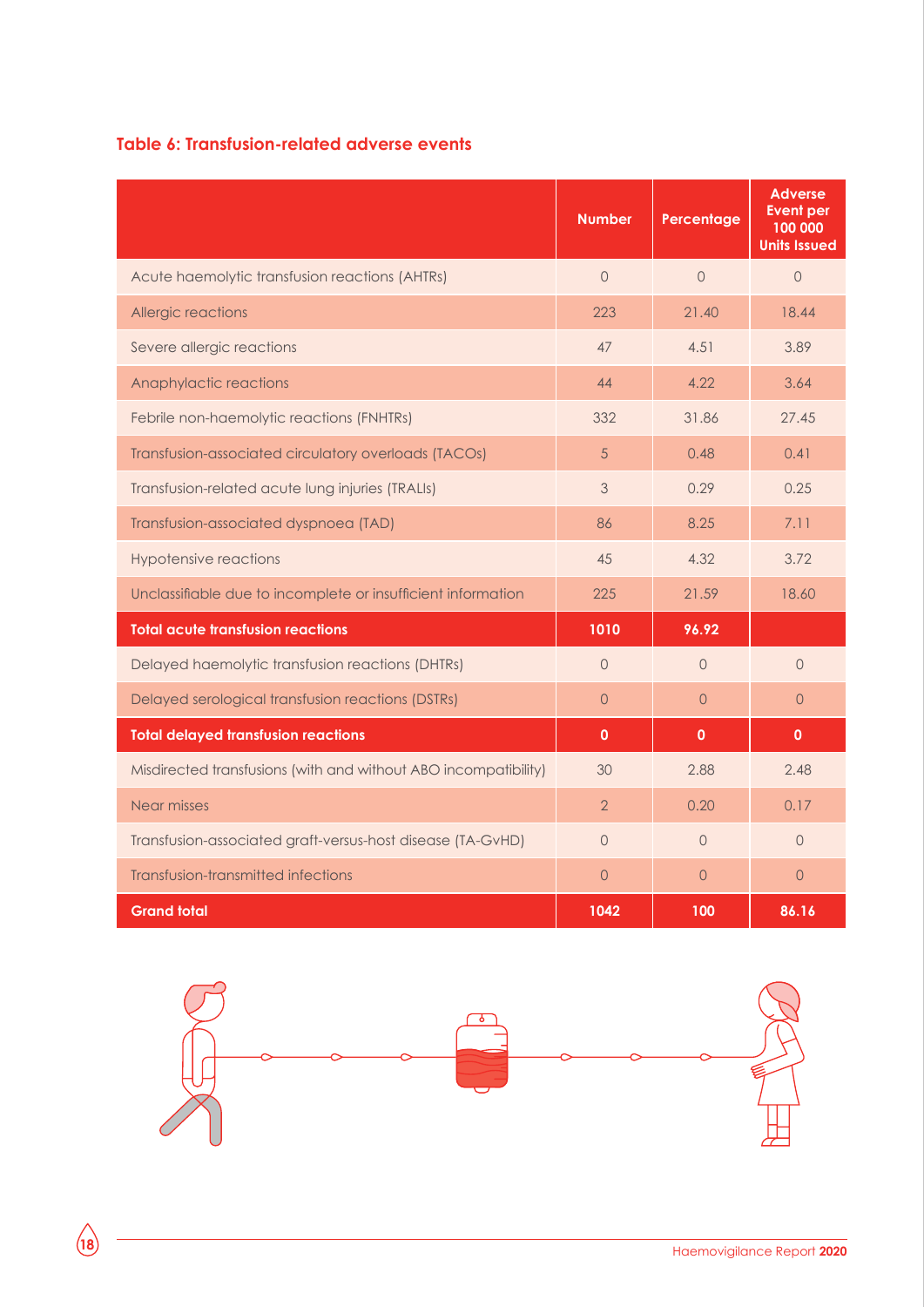#### **Table 6: Transfusion-related adverse events**

|                                                                 | <b>Number</b>  | Percentage     | <b>Adverse</b><br><b>Event per</b><br>100 000<br><b>Units Issued</b> |
|-----------------------------------------------------------------|----------------|----------------|----------------------------------------------------------------------|
| Acute haemolytic transfusion reactions (AHTRs)                  | $\Omega$       | $\Omega$       | $\Omega$                                                             |
| Allergic reactions                                              | 223            | 21.40          | 18.44                                                                |
| Severe allergic reactions                                       | 47             | 4.51           | 3.89                                                                 |
| Anaphylactic reactions                                          | 44             | 4.22           | 3.64                                                                 |
| Febrile non-haemolytic reactions (FNHTRs)                       | 332            | 31.86          | 27.45                                                                |
| Transfusion-associated circulatory overloads (TACOs)            | 5              | 0.48           | 0.41                                                                 |
| Transfusion-related acute lung injuries (TRALIs)                | 3              | 0.29           | 0.25                                                                 |
| Transfusion-associated dyspnoea (TAD)                           | 86             | 8.25           | 7.11                                                                 |
| <b>Hypotensive reactions</b>                                    | 45             | 4.32           | 3.72                                                                 |
| Unclassifiable due to incomplete or insufficient information    | 225            | 21.59          | 18.60                                                                |
| <b>Total acute transfusion reactions</b>                        | 1010           | 96.92          |                                                                      |
| Delayed haemolytic transfusion reactions (DHTRs)                | $\Omega$       | $\Omega$       | $\Omega$                                                             |
| Delayed serological transfusion reactions (DSTRs)               | $\Omega$       | $\Omega$       | $\Omega$                                                             |
| <b>Total delayed transfusion reactions</b>                      | $\mathbf{0}$   | $\mathbf{0}$   | $\mathbf{0}$                                                         |
| Misdirected transfusions (with and without ABO incompatibility) | 30             | 2.88           | 2.48                                                                 |
| Near misses                                                     | $\overline{2}$ | 0.20           | 0.17                                                                 |
| Transfusion-associated graft-versus-host disease (TA-GvHD)      | $\overline{0}$ | $\overline{O}$ | $\overline{0}$                                                       |
| Transfusion-transmitted infections                              | $\overline{0}$ | $\overline{0}$ | $\overline{0}$                                                       |
| <b>Grand total</b>                                              | 1042           | 100            | 86.16                                                                |

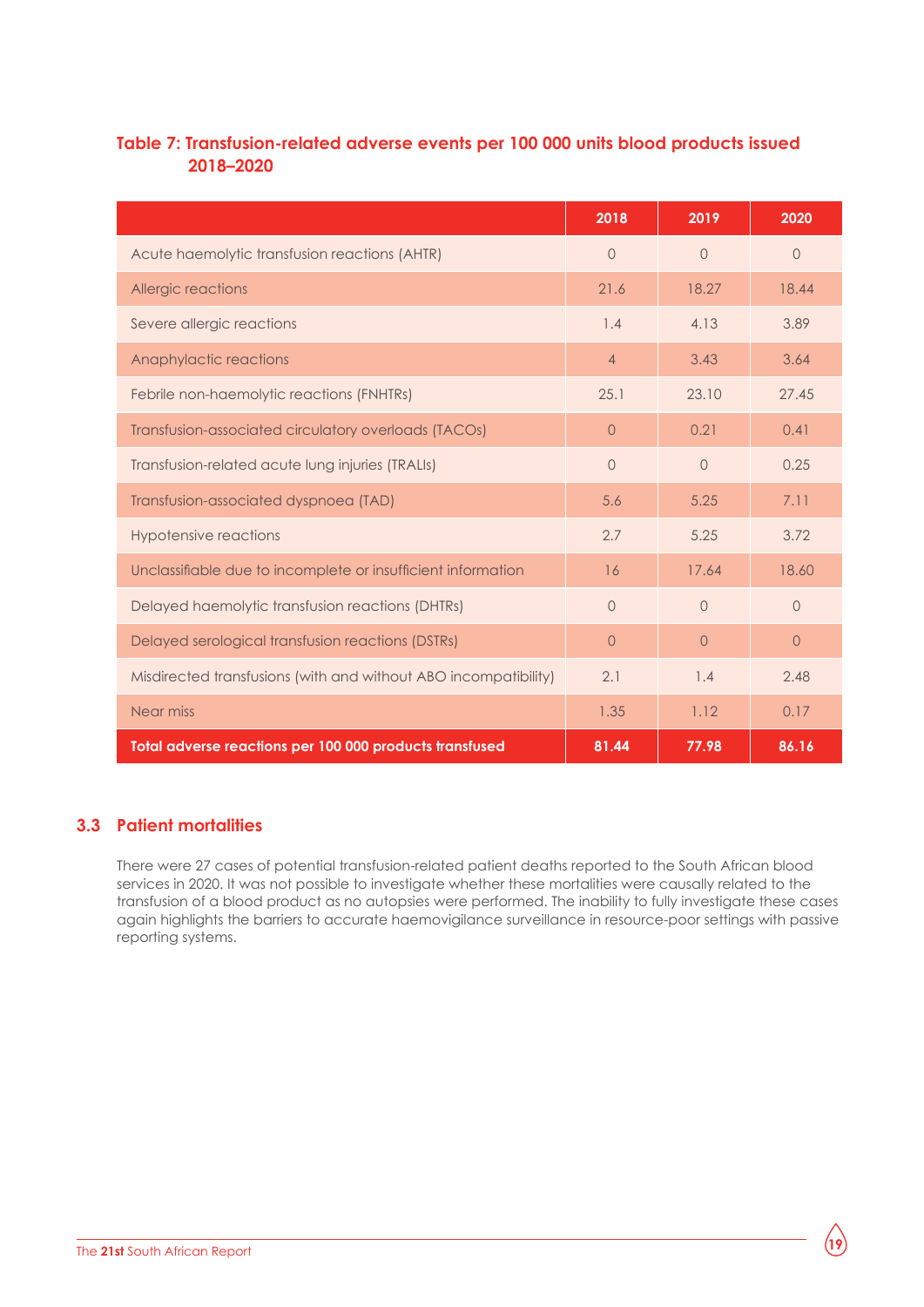#### **Table 7: Transfusion-related adverse events per 100 000 units blood products issued 2018–2020**

|                                                                 | 2018           | 2019     | 2020     |
|-----------------------------------------------------------------|----------------|----------|----------|
| Acute haemolytic transfusion reactions (AHTR)                   | $\Omega$       | $\Omega$ | $\Omega$ |
| Allergic reactions                                              | 21.6           | 18.27    | 18.44    |
| Severe allergic reactions                                       | 1.4            | 4.13     | 3.89     |
| Anaphylactic reactions                                          | $\overline{4}$ | 3.43     | 3.64     |
| Febrile non-haemolytic reactions (FNHTRs)                       | 25.1           | 23.10    | 27.45    |
| Transfusion-associated circulatory overloads (TACOs)            | $\circ$        | 0.21     | 0.41     |
| Transfusion-related acute lung injuries (TRALIs)                | $\bigcap$      | $\Omega$ | 0.25     |
| Transfusion-associated dyspnoea (TAD)                           | 5.6            | 5.25     | 7.11     |
| <b>Hypotensive reactions</b>                                    | 2.7            | 5.25     | 3.72     |
| Unclassifiable due to incomplete or insufficient information    | 16             | 17.64    | 18.60    |
| Delayed haemolytic transfusion reactions (DHTRs)                | $\bigcap$      | $\Omega$ | $\Omega$ |
| Delayed serological transfusion reactions (DSTRs)               | $\Omega$       | $\Omega$ | $\circ$  |
| Misdirected transfusions (with and without ABO incompatibility) | 2.1            | 1.4      | 2.48     |
| Near miss                                                       | 1.35           | 1.12     | 0.17     |
| Total adverse reactions per 100 000 products transfused         | 81.44          | 77.98    | 86.16    |

#### **3.3 Patient mortalities**

There were 27 cases of potential transfusion-related patient deaths reported to the South African blood services in 2020. It was not possible to investigate whether these mortalities were causally related to the transfusion of a blood product as no autopsies were performed. The inability to fully investigate these cases again highlights the barriers to accurate haemovigilance surveillance in resource-poor settings with passive reporting systems.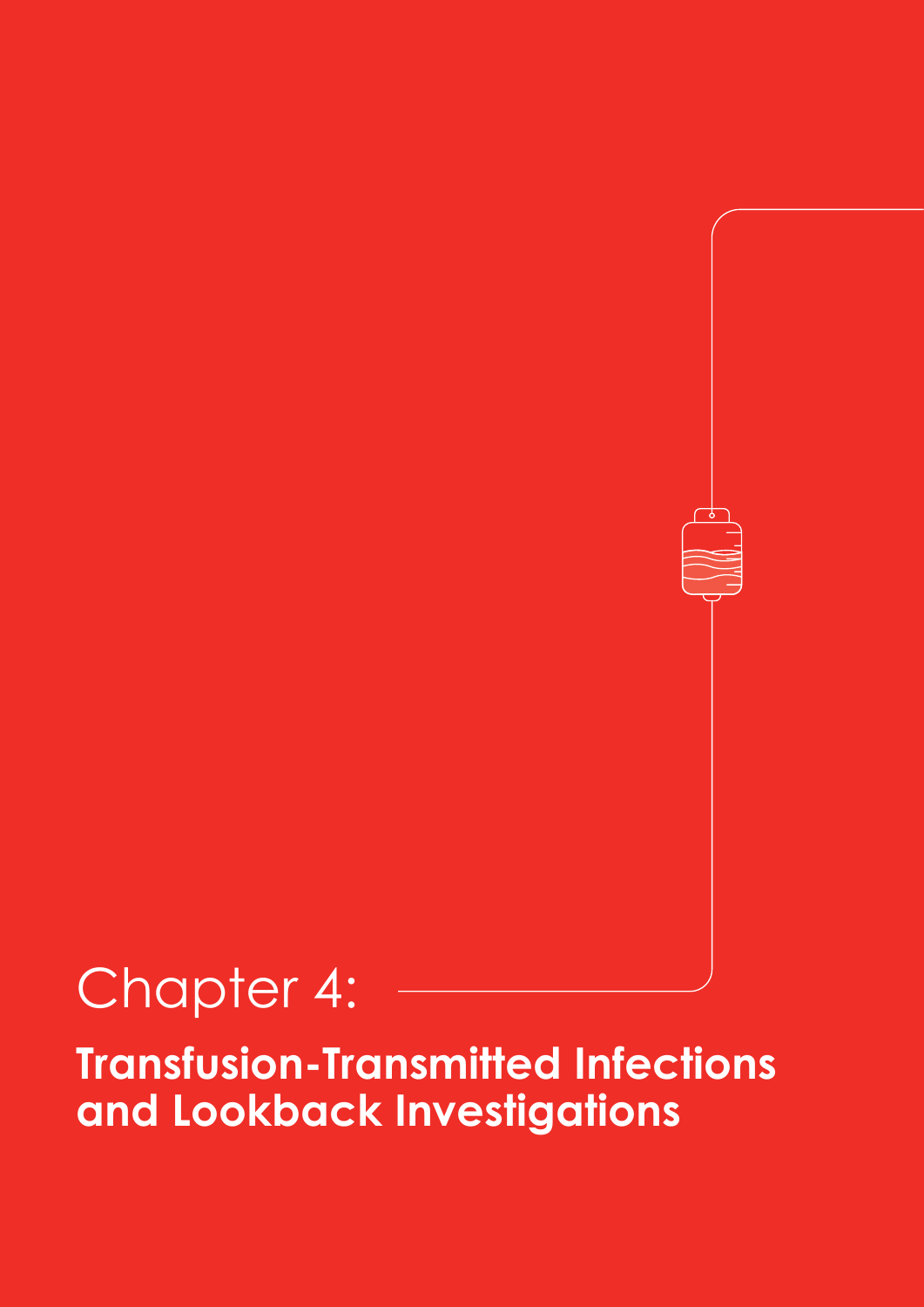## Chapter 4:

**Transfusion-Transmitted Infections and Lookback Investigations**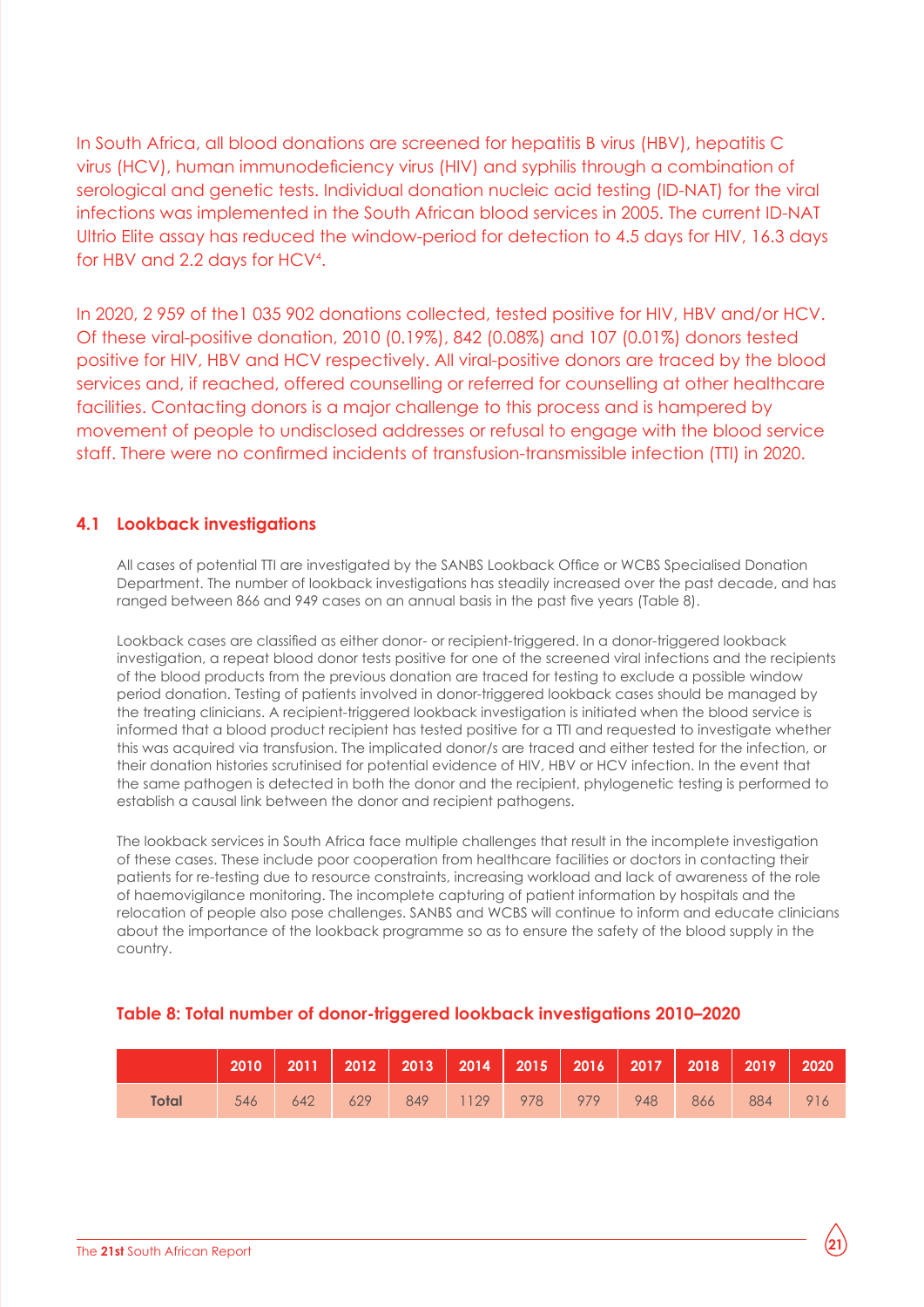In South Africa, all blood donations are screened for hepatitis B virus (HBV), hepatitis C virus (HCV), human immunodeficiency virus (HIV) and syphilis through a combination of serological and genetic tests. Individual donation nucleic acid testing (ID-NAT) for the viral infections was implemented in the South African blood services in 2005. The current ID-NAT Ultrio Elite assay has reduced the window-period for detection to 4.5 days for HIV, 16.3 days for HBV and 2.2 days for HCV4 .

In 2020, 2 959 of the1 035 902 donations collected, tested positive for HIV, HBV and/or HCV. Of these viral-positive donation, 2010 (0.19%), 842 (0.08%) and 107 (0.01%) donors tested positive for HIV, HBV and HCV respectively. All viral-positive donors are traced by the blood services and, if reached, offered counselling or referred for counselling at other healthcare facilities. Contacting donors is a major challenge to this process and is hampered by movement of people to undisclosed addresses or refusal to engage with the blood service staff. There were no confirmed incidents of transfusion-transmissible infection (TTI) in 2020.

#### **4.1 Lookback investigations**

All cases of potential TTI are investigated by the SANBS Lookback Office or WCBS Specialised Donation Department. The number of lookback investigations has steadily increased over the past decade, and has ranged between 866 and 949 cases on an annual basis in the past five years (Table 8).

Lookback cases are classified as either donor- or recipient-triggered. In a donor-triggered lookback investigation, a repeat blood donor tests positive for one of the screened viral infections and the recipients of the blood products from the previous donation are traced for testing to exclude a possible window period donation. Testing of patients involved in donor-triggered lookback cases should be managed by the treating clinicians. A recipient-triggered lookback investigation is initiated when the blood service is informed that a blood product recipient has tested positive for a TTI and requested to investigate whether this was acquired via transfusion. The implicated donor/s are traced and either tested for the infection, or their donation histories scrutinised for potential evidence of HIV, HBV or HCV infection. In the event that the same pathogen is detected in both the donor and the recipient, phylogenetic testing is performed to establish a causal link between the donor and recipient pathogens.

The lookback services in South Africa face multiple challenges that result in the incomplete investigation of these cases. These include poor cooperation from healthcare facilities or doctors in contacting their patients for re-testing due to resource constraints, increasing workload and lack of awareness of the role of haemovigilance monitoring. The incomplete capturing of patient information by hospitals and the relocation of people also pose challenges. SANBS and WCBS will continue to inform and educate clinicians about the importance of the lookback programme so as to ensure the safety of the blood supply in the country.

#### **Table 8: Total number of donor-triggered lookback investigations 2010–2020**

|              |     |     |     | 2010   2011   2012   2013   2014   2015   2016   2017   2018   2019   2020 |  |     |         |  |
|--------------|-----|-----|-----|----------------------------------------------------------------------------|--|-----|---------|--|
| <b>Total</b> | 546 | 642 | 629 | 849 1129 978 979 948                                                       |  | 866 | 884 916 |  |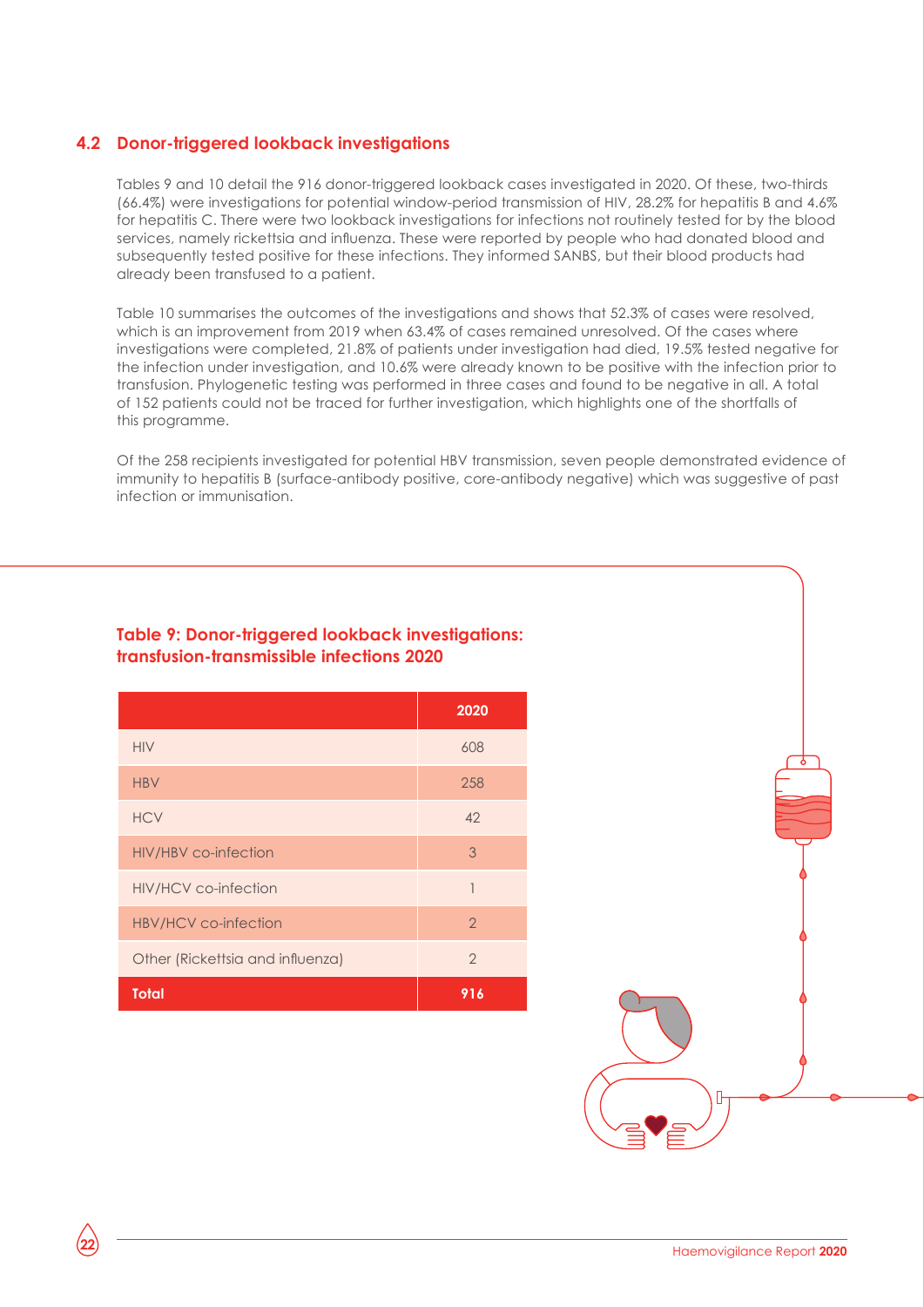#### **4.2 Donor-triggered lookback investigations**

Tables 9 and 10 detail the 916 donor-triggered lookback cases investigated in 2020. Of these, two-thirds (66.4%) were investigations for potential window-period transmission of HIV, 28.2% for hepatitis B and 4.6% for hepatitis C. There were two lookback investigations for infections not routinely tested for by the blood services, namely rickettsia and influenza. These were reported by people who had donated blood and subsequently tested positive for these infections. They informed SANBS, but their blood products had already been transfused to a patient.

Table 10 summarises the outcomes of the investigations and shows that 52.3% of cases were resolved, which is an improvement from 2019 when 63.4% of cases remained unresolved. Of the cases where investigations were completed, 21.8% of patients under investigation had died, 19.5% tested negative for the infection under investigation, and 10.6% were already known to be positive with the infection prior to transfusion. Phylogenetic testing was performed in three cases and found to be negative in all. A total of 152 patients could not be traced for further investigation, which highlights one of the shortfalls of this programme.

Of the 258 recipients investigated for potential HBV transmission, seven people demonstrated evidence of immunity to hepatitis B (surface-antibody positive, core-antibody negative) which was suggestive of past infection or immunisation.

#### **Table 9: Donor-triggered lookback investigations: transfusion-transmissible infections 2020**

|                                  | 2020           |
|----------------------------------|----------------|
| <b>HIV</b>                       | 608            |
| <b>HBV</b>                       | 258            |
| <b>HCV</b>                       | 42             |
| <b>HIV/HBV</b> co-infection      | 3              |
| <b>HIV/HCV</b> co-infection      | 1              |
| HBV/HCV co-infection             | $\mathcal{P}$  |
| Other (Rickettsia and influenza) | $\overline{2}$ |
| <b>Total</b>                     | 916            |

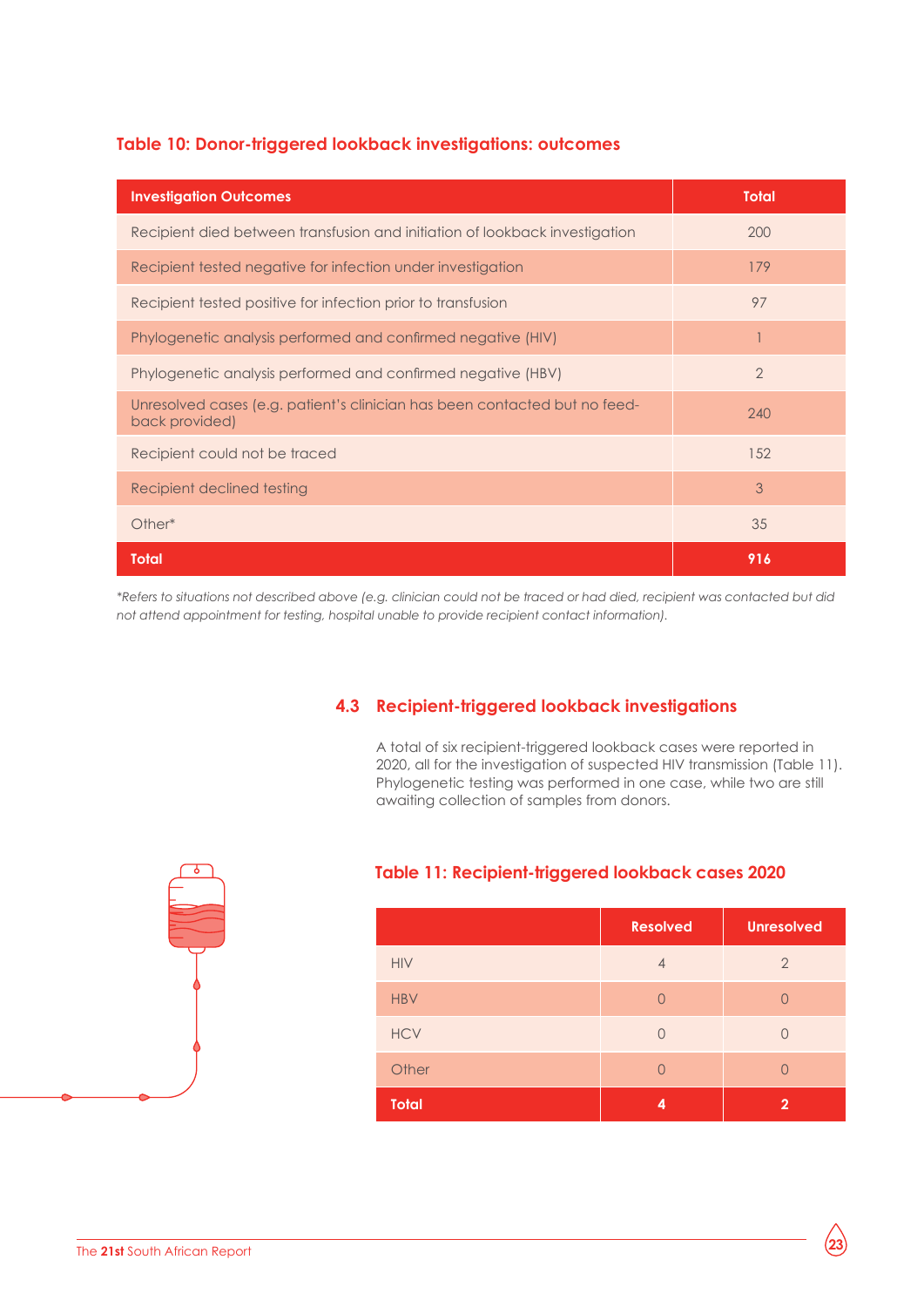#### **Table 10: Donor-triggered lookback investigations: outcomes**

| <b>Investigation Outcomes</b>                                                                | <b>Total</b>   |
|----------------------------------------------------------------------------------------------|----------------|
| Recipient died between transfusion and initiation of lookback investigation                  | 200            |
| Recipient tested negative for infection under investigation                                  | 179            |
| Recipient tested positive for infection prior to transfusion                                 | 97             |
| Phylogenetic analysis performed and confirmed negative (HIV)                                 |                |
| Phylogenetic analysis performed and confirmed negative (HBV)                                 | $\overline{2}$ |
| Unresolved cases (e.g. patient's clinician has been contacted but no feed-<br>back provided) | 240            |
| Recipient could not be traced                                                                | 152            |
| Recipient declined testing                                                                   | 3              |
| Other*                                                                                       | 35             |
| <b>Total</b>                                                                                 | 916            |

*\*Refers to situations not described above (e.g. clinician could not be traced or had died, recipient was contacted but did not attend appointment for testing, hospital unable to provide recipient contact information).* 

#### **4.3 Recipient-triggered lookback investigations**

A total of six recipient-triggered lookback cases were reported in 2020, all for the investigation of suspected HIV transmission (Table 11). Phylogenetic testing was performed in one case, while two are still awaiting collection of samples from donors.



#### **Table 11: Recipient-triggered lookback cases 2020**

|              | <b>Resolved</b> | <b>Unresolved</b> |
|--------------|-----------------|-------------------|
| <b>HIV</b>   | $\overline{4}$  | $\overline{2}$    |
| <b>HBV</b>   | $\bigcap$       | $\left( \right)$  |
| <b>HCV</b>   | $\bigcap$       | O                 |
| Other        | $\bigcap$       | $\Box$            |
| <b>Total</b> | 4               | $\mathbf{2}$      |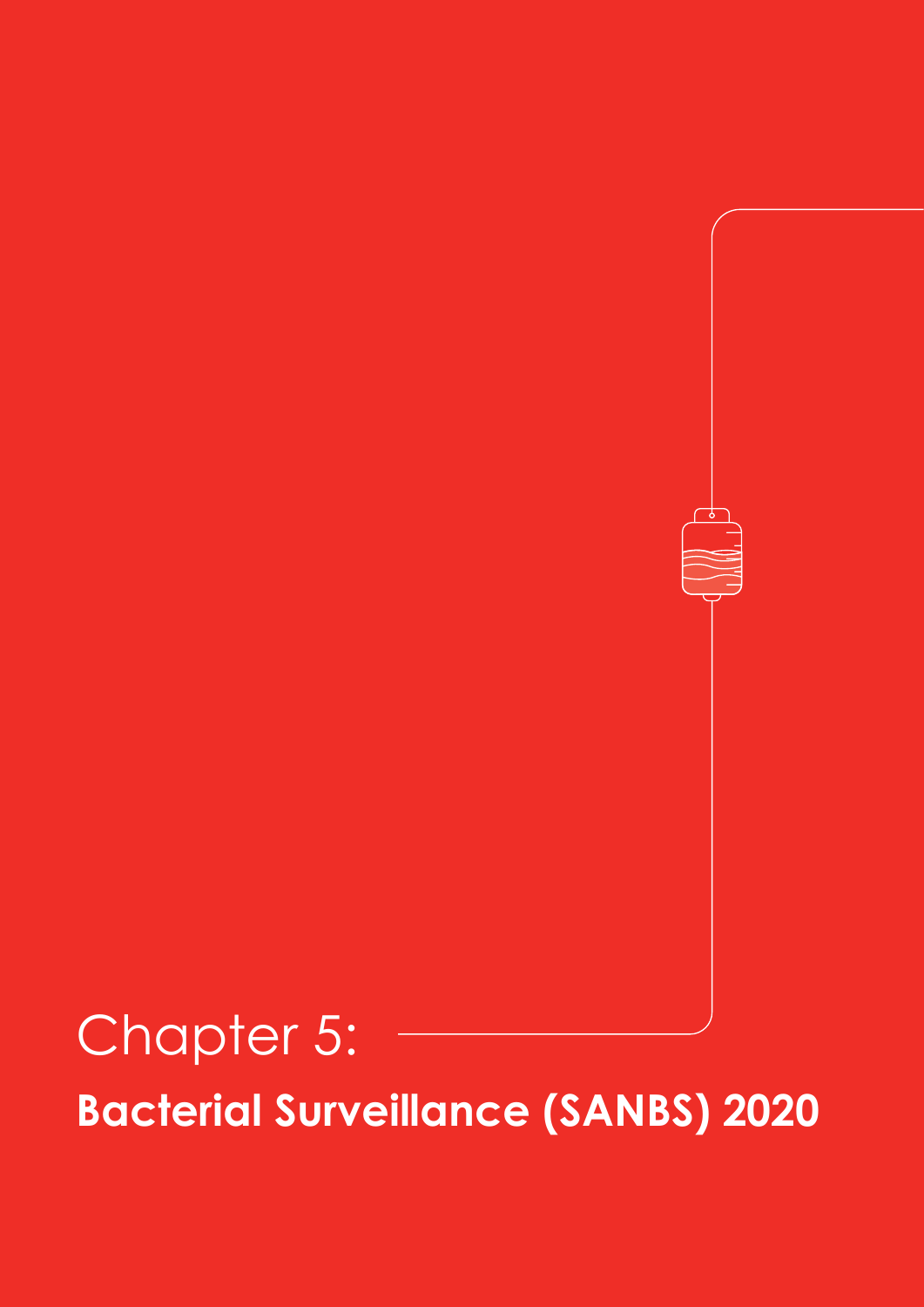## Chapter 5: **Bacterial Surveillance (SANBS) 2020**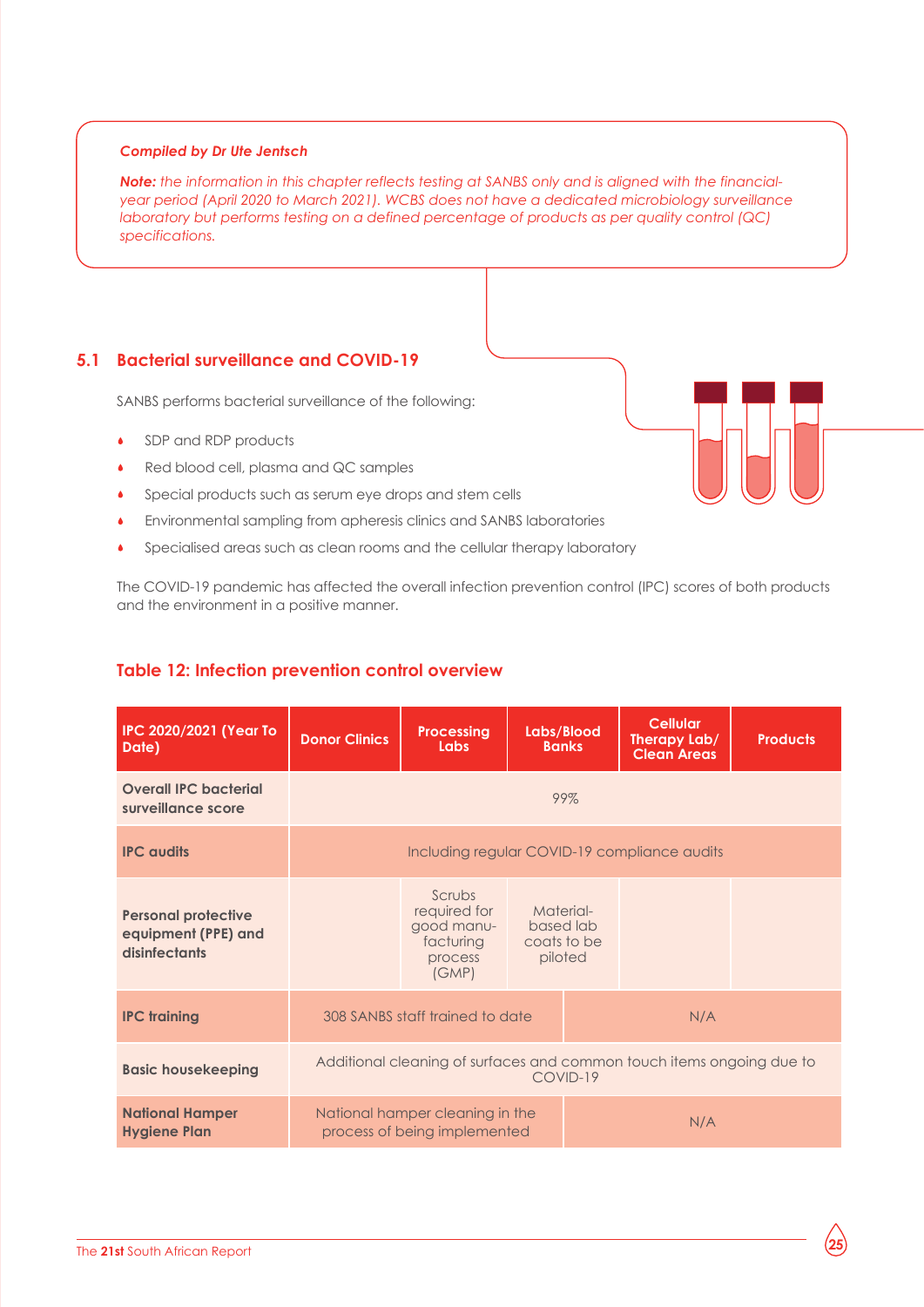#### *Compiled by Dr Ute Jentsch*

*Note: the information in this chapter reflects testing at SANBS only and is aligned with the financialyear period (April 2020 to March 2021). WCBS does not have a dedicated microbiology surveillance laboratory but performs testing on a defined percentage of products as per quality control (QC) specifications.*

#### **5.1 Bacterial surveillance and COVID-19**

SANBS performs bacterial surveillance of the following:

- SDP and RDP products
- Red blood cell, plasma and QC samples
- Special products such as serum eye drops and stem cells
- Environmental sampling from apheresis clinics and SANBS laboratories
- Specialised areas such as clean rooms and the cellular therapy laboratory

The COVID-19 pandemic has affected the overall infection prevention control (IPC) scores of both products and the environment in a positive manner.

| <b>IPC 2020/2021 (Year To</b><br>Date)                             | <b>Donor Clinics</b>                                                              | <b>Processing</b><br>Labs                                             | Labs/Blood<br><b>Banks</b>                       |  | <b>Cellular</b><br>Therapy Lab/<br><b>Clean Areas</b> | <b>Products</b> |  |
|--------------------------------------------------------------------|-----------------------------------------------------------------------------------|-----------------------------------------------------------------------|--------------------------------------------------|--|-------------------------------------------------------|-----------------|--|
| <b>Overall IPC bacterial</b><br>surveillance score                 | 99%                                                                               |                                                                       |                                                  |  |                                                       |                 |  |
| <b>IPC</b> audits                                                  |                                                                                   | Including regular COVID-19 compliance audits                          |                                                  |  |                                                       |                 |  |
| <b>Personal protective</b><br>equipment (PPE) and<br>disinfectants |                                                                                   | Scrubs<br>required for<br>good manu-<br>facturing<br>process<br>(GMP) | Material-<br>based lab<br>coats to be<br>piloted |  |                                                       |                 |  |
| <b>IPC training</b>                                                |                                                                                   | 308 SANBS staff trained to date                                       |                                                  |  | N/A                                                   |                 |  |
| <b>Basic housekeeping</b>                                          | Additional cleaning of surfaces and common touch items ongoing due to<br>COVID-19 |                                                                       |                                                  |  |                                                       |                 |  |
| <b>National Hamper</b><br><b>Hygiene Plan</b>                      |                                                                                   | National hamper cleaning in the<br>process of being implemented       |                                                  |  | N/A                                                   |                 |  |

#### **Table 12: Infection prevention control overview**

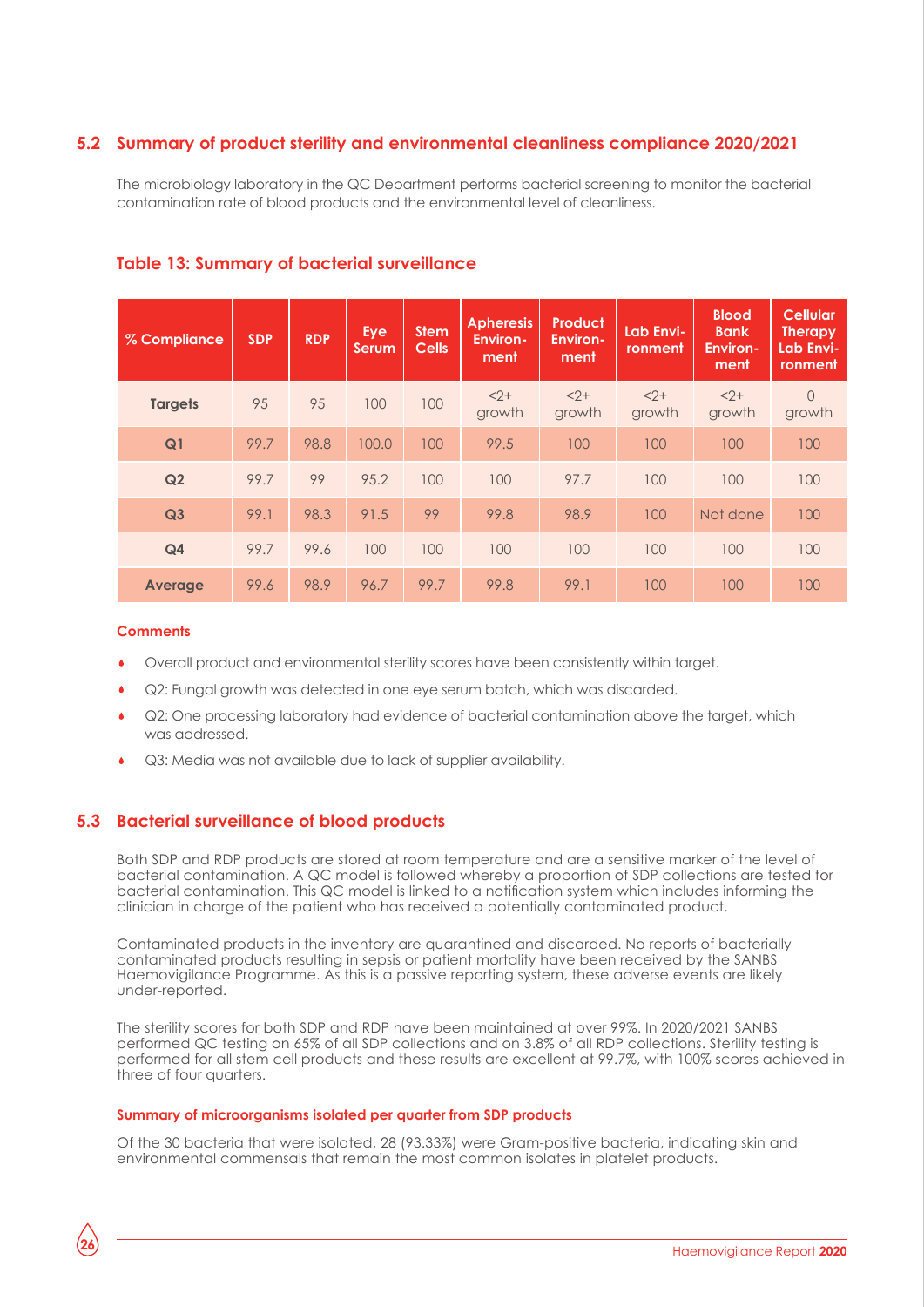#### **5.2 Summary of product sterility and environmental cleanliness compliance 2020/2021**

The microbiology laboratory in the QC Department performs bacterial screening to monitor the bacterial contamination rate of blood products and the environmental level of cleanliness.

| % Compliance   | <b>SDP</b> | <b>RDP</b> | Eye<br><b>Serum</b> | <b>Stem</b><br><b>Cells</b> | <b>Apheresis</b><br><b>Environ-</b><br>ment | <b>Product</b><br><b>Environ-</b><br>ment | Lab Envi-<br>ronment | <b>Blood</b><br><b>Bank</b><br><b>Environ-</b><br>ment | <b>Cellular</b><br><b>Therapy</b><br>Lab Envi-<br>ronment |
|----------------|------------|------------|---------------------|-----------------------------|---------------------------------------------|-------------------------------------------|----------------------|--------------------------------------------------------|-----------------------------------------------------------|
| <b>Targets</b> | 95         | 95         | 100                 | 100                         | $2+$<br>growth                              | $2+$<br>growth                            | $< 2 +$<br>growth    | $2+$<br>growth                                         | $\Omega$<br>growth                                        |
| Q <sub>1</sub> | 99.7       | 98.8       | 100.0               | 100                         | 99.5                                        | 100                                       | 100                  | 100                                                    | 100                                                       |
| Q2             | 99.7       | 99         | 95.2                | 100                         | 100                                         | 97.7                                      | 100                  | 100                                                    | 100                                                       |
| Q <sub>3</sub> | 99.1       | 98.3       | 91.5                | 99                          | 99.8                                        | 98.9                                      | 100                  | Not done                                               | 100                                                       |
| Q <sub>4</sub> | 99.7       | 99.6       | 100                 | 100                         | 100                                         | 100                                       | 100                  | 100                                                    | 100                                                       |
| <b>Average</b> | 99.6       | 98.9       | 96.7                | 99.7                        | 99.8                                        | 99.1                                      | 100                  | 100                                                    | 100                                                       |

#### **Table 13: Summary of bacterial surveillance**

#### **Comments**

**26**

- Overall product and environmental sterility scores have been consistently within target.
- Q2: Fungal growth was detected in one eye serum batch, which was discarded.
- Q2: One processing laboratory had evidence of bacterial contamination above the target, which was addressed.
- Q3: Media was not available due to lack of supplier availability.

#### **5.3 Bacterial surveillance of blood products**

Both SDP and RDP products are stored at room temperature and are a sensitive marker of the level of bacterial contamination. A QC model is followed whereby a proportion of SDP collections are tested for bacterial contamination. This QC model is linked to a notification system which includes informing the clinician in charge of the patient who has received a potentially contaminated product.

Contaminated products in the inventory are quarantined and discarded. No reports of bacterially contaminated products resulting in sepsis or patient mortality have been received by the SANBS Haemovigilance Programme. As this is a passive reporting system, these adverse events are likely under-reported.

The sterility scores for both SDP and RDP have been maintained at over 99%. In 2020/2021 SANBS performed QC testing on 65% of all SDP collections and on 3.8% of all RDP collections. Sterility testing is performed for all stem cell products and these results are excellent at 99.7%, with 100% scores achieved in three of four quarters.

#### **Summary of microorganisms isolated per quarter from SDP products**

Of the 30 bacteria that were isolated, 28 (93.33%) were Gram-positive bacteria, indicating skin and environmental commensals that remain the most common isolates in platelet products.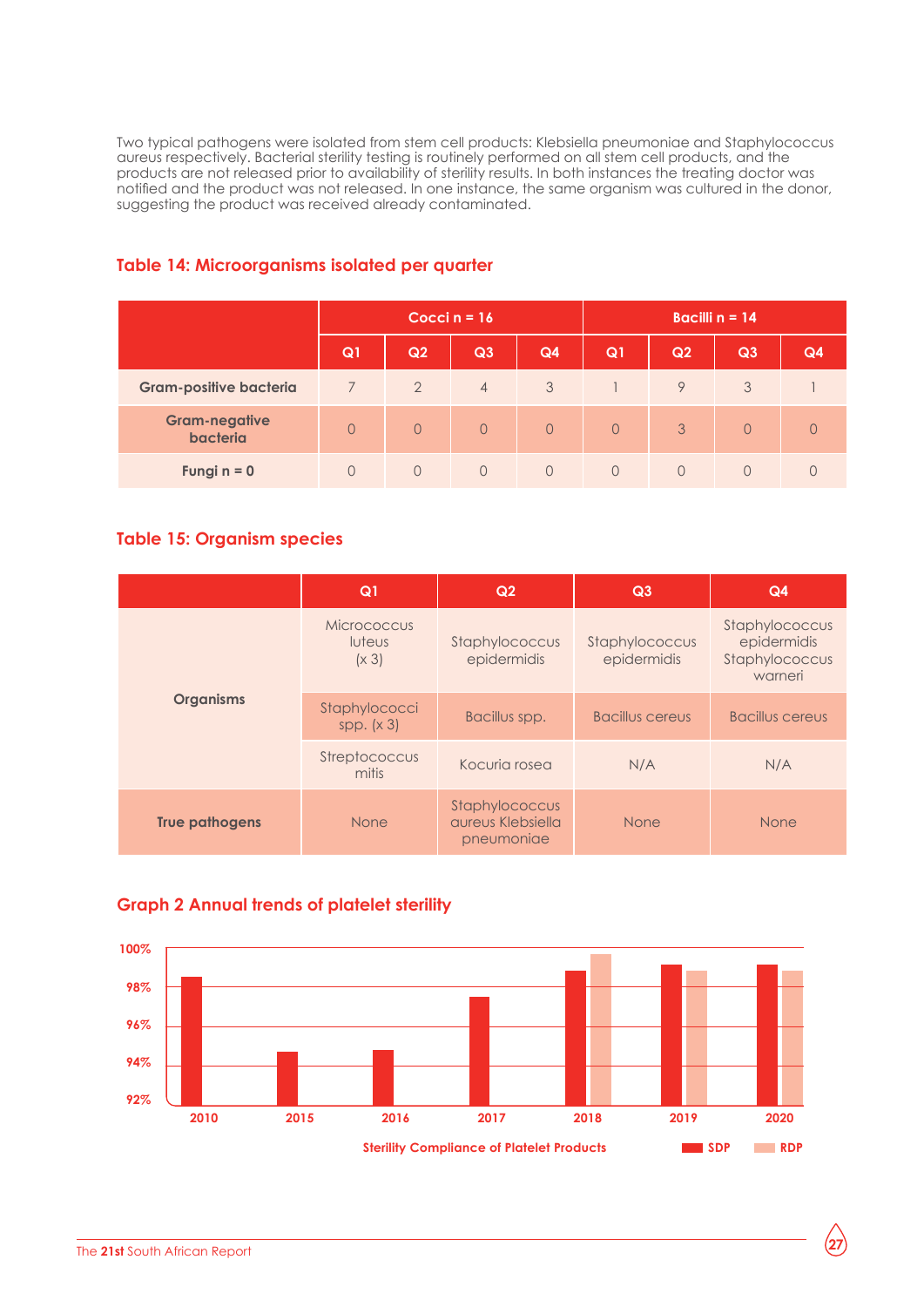Two typical pathogens were isolated from stem cell products: Klebsiella pneumoniae and Staphylococcus aureus respectively. Bacterial sterility testing is routinely performed on all stem cell products, and the products are not released prior to availability of sterility results. In both instances the treating doctor was notified and the product was not released. In one instance, the same organism was cultured in the donor, suggesting the product was received already contaminated.

|                                  | Cocci $n = 16$ |                |                |                | Bacilli $n = 14$ |                |          |    |
|----------------------------------|----------------|----------------|----------------|----------------|------------------|----------------|----------|----|
|                                  | Q <sub>1</sub> | Q2             | Q3             | Q4             | Q1               | Q <sub>2</sub> | Q3       | Q4 |
| <b>Gram-positive bacteria</b>    |                | $\overline{2}$ | $\overline{4}$ | 3              |                  | $\mathsf{Q}$   | 3        |    |
| <b>Gram-negative</b><br>bacteria | $\Omega$       | $\Omega$       | $\Omega$       | $\overline{0}$ | $\Omega$         | 3              | $\Omega$ |    |
| Fungi $n = 0$                    | $\cup$         | $\Omega$       | $\Omega$       | $\Omega$       | $\Omega$         | $\Omega$       | $\Omega$ |    |

#### **Table 14: Microorganisms isolated per quarter**

#### **Table 15: Organism species**

|                       | Q <sub>1</sub>                 | Q2                                                | Q3                            | Q <sub>4</sub>                                             |
|-----------------------|--------------------------------|---------------------------------------------------|-------------------------------|------------------------------------------------------------|
|                       | Micrococcus<br>luteus<br>(x 3) | Staphylococcus<br>epidermidis                     | Staphylococcus<br>epidermidis | Staphylococcus<br>epidermidis<br>Staphylococcus<br>warneri |
| <b>Organisms</b>      | Staphylococci<br>spp. $(x 3)$  | Bacillus spp.                                     | <b>Bacillus cereus</b>        | <b>Bacillus cereus</b>                                     |
|                       | Streptococcus<br>mitis         | Kocuria rosea                                     | N/A                           | N/A                                                        |
| <b>True pathogens</b> | None                           | Staphylococcus<br>aureus Klebsiella<br>pneumoniae | <b>None</b>                   | <b>None</b>                                                |



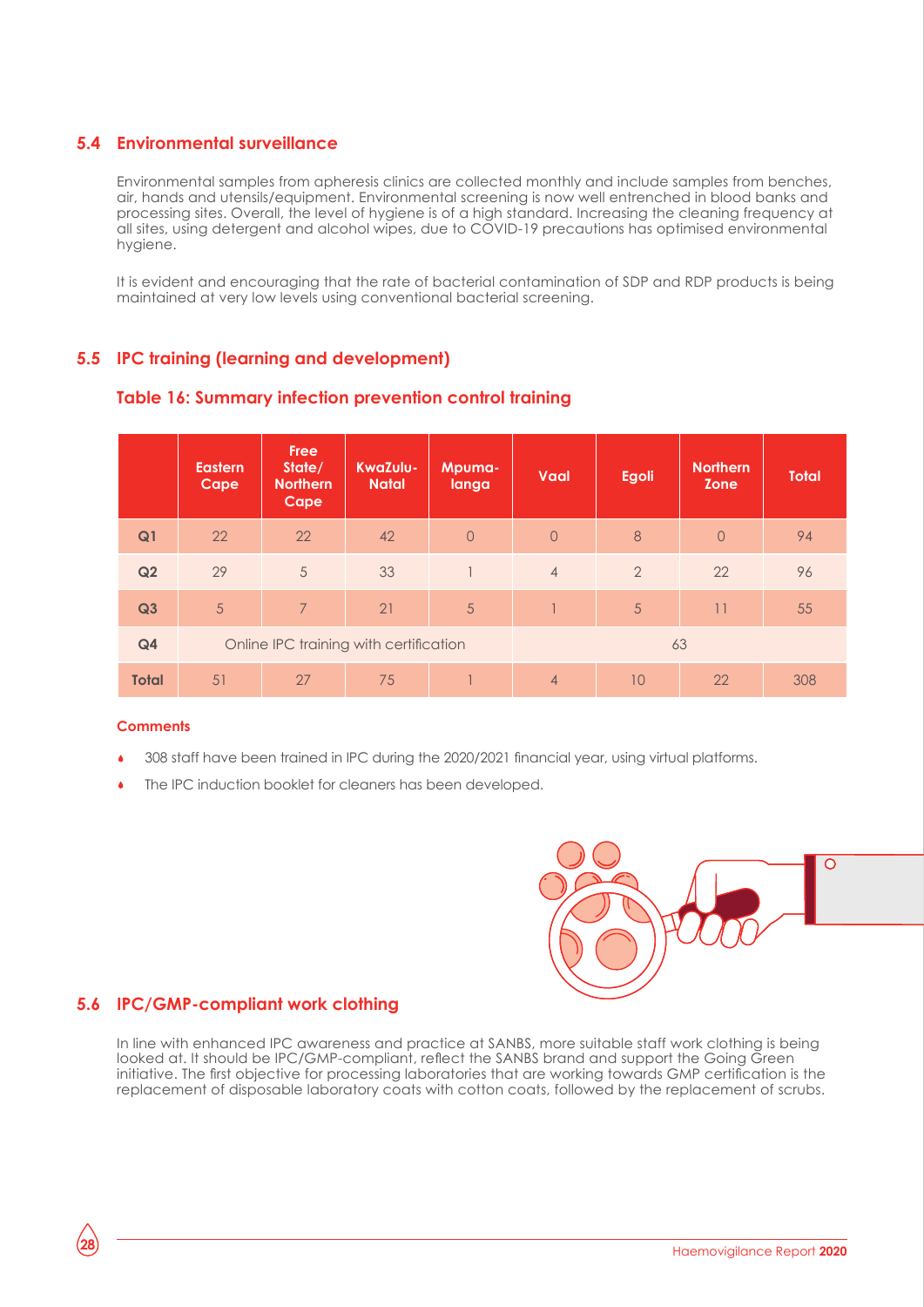#### **5.4 Environmental surveillance**

Environmental samples from apheresis clinics are collected monthly and include samples from benches, air, hands and utensils/equipment. Environmental screening is now well entrenched in blood banks and processing sites. Overall, the level of hygiene is of a high standard. Increasing the cleaning frequency at all sites, using detergent and alcohol wipes, due to COVID-19 precautions has optimised environmental hygiene.

It is evident and encouraging that the rate of bacterial contamination of SDP and RDP products is being maintained at very low levels using conventional bacterial screening.

#### **5.5 IPC training (learning and development)**

|                | <b>Eastern</b><br>Cape                 | <b>Free</b><br>State/<br><b>Northern</b><br>Cape | KwaZulu-<br><b>Natal</b> | Mpuma-<br>langa | Vaal           | <b>Egoli</b>   | <b>Northern</b><br><b>Zone</b> | <b>Total</b> |
|----------------|----------------------------------------|--------------------------------------------------|--------------------------|-----------------|----------------|----------------|--------------------------------|--------------|
| Q <sub>1</sub> | 22                                     | 22                                               | 42                       | $\overline{0}$  | $\circ$        | 8              | $\overline{O}$                 | 94           |
| Q2             | 29                                     | 5                                                | 33                       |                 | $\overline{4}$ | $\overline{2}$ | 22                             | 96           |
| Q3             | 5                                      | $\overline{7}$                                   | 21                       | 5               |                | 5              | 11                             | 55           |
| Q <sub>4</sub> | Online IPC training with certification |                                                  |                          |                 |                |                | 63                             |              |
| <b>Total</b>   | 51                                     | 27                                               | 75                       |                 | $\overline{4}$ | 10             | 22                             | 308          |

#### **Table 16: Summary infection prevention control training**

#### **Comments**

- 308 staff have been trained in IPC during the 2020/2021 financial year, using virtual platforms.
- The IPC induction booklet for cleaners has been developed.



#### **5.6 IPC/GMP-compliant work clothing**

In line with enhanced IPC awareness and practice at SANBS, more suitable staff work clothing is being looked at. It should be IPC/GMP-compliant, reflect the SANBS brand and support the Going Green initiative. The first objective for processing laboratories that are working towards GMP certification is the replacement of disposable laboratory coats with cotton coats, followed by the replacement of scrubs.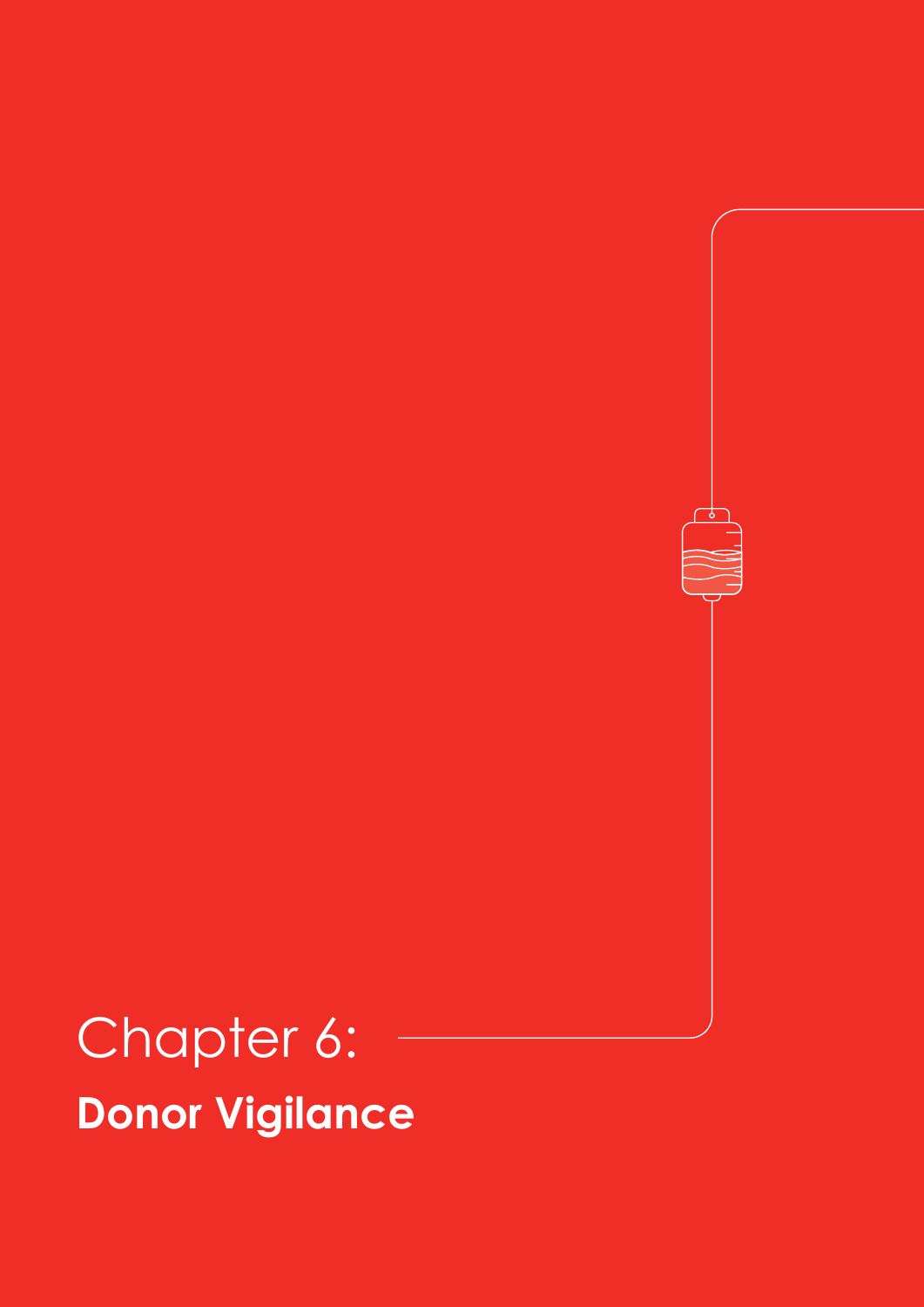## Chapter 6: **Donor Vigilance**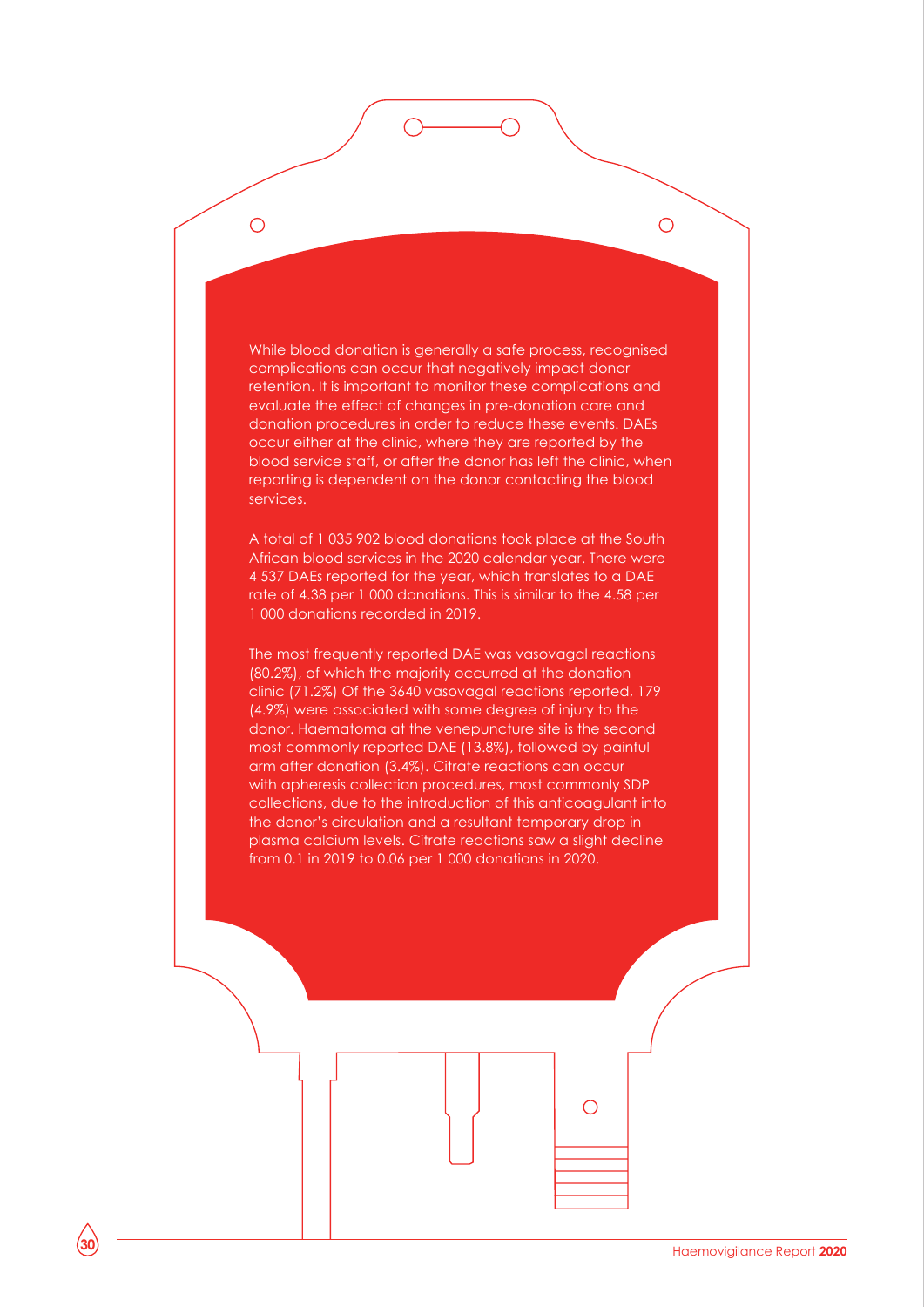While blood donation is generally a safe process, recognised complications can occur that negatively impact donor retention. It is important to monitor these complications and evaluate the effect of changes in pre-donation care and donation procedures in order to reduce these events. DAEs occur either at the clinic, where they are reported by the blood service staff, or after the donor has left the clinic, when reporting is dependent on the donor contacting the blood services.

 $\bigcirc$ 

 $\bigcirc$ 

A total of 1 035 902 blood donations took place at the South African blood services in the 2020 calendar year. There were 4 537 DAEs reported for the year, which translates to a DAE rate of 4.38 per 1 000 donations. This is similar to the 4.58 per 1 000 donations recorded in 2019.

The most frequently reported DAE was vasovagal reactions (80.2%), of which the majority occurred at the donation clinic (71.2%) Of the 3640 vasovagal reactions reported, 179 (4.9%) were associated with some degree of injury to the donor. Haematoma at the venepuncture site is the second most commonly reported DAE (13.8%), followed by painful arm after donation (3.4%). Citrate reactions can occur with apheresis collection procedures, most commonly SDP collections, due to the introduction of this anticoagulant into the donor's circulation and a resultant temporary drop in plasma calcium levels. Citrate reactions saw a slight decline from 0.1 in 2019 to 0.06 per 1 000 donations in 2020.

 $\bigcirc$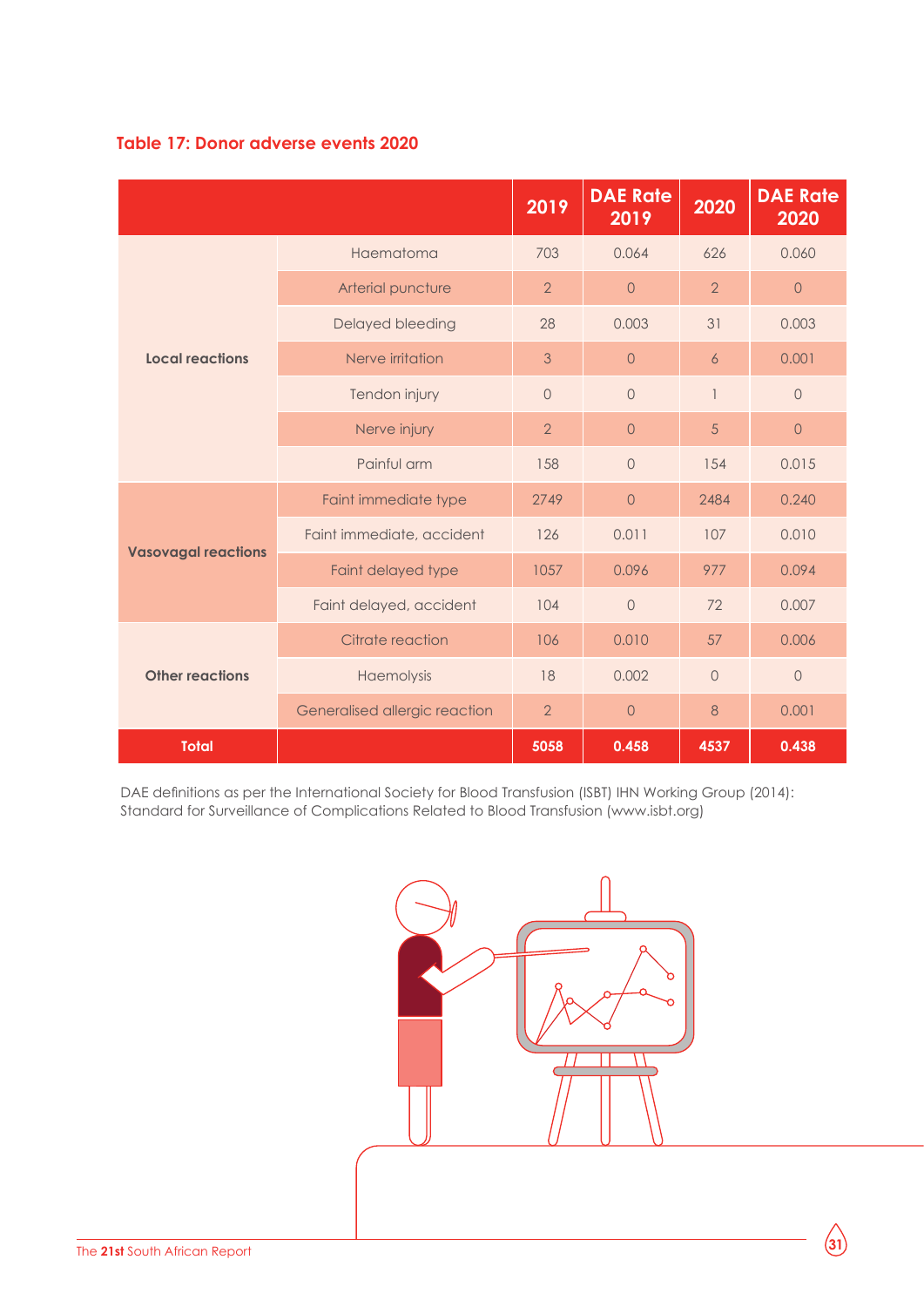

|                            |                               | 2019           | <b>DAE Rate</b><br>2019 | 2020           | <b>DAE Rate</b><br>2020 |
|----------------------------|-------------------------------|----------------|-------------------------|----------------|-------------------------|
|                            | Haematoma                     | 703            | 0.064                   | 626            | 0.060                   |
|                            | Arterial puncture             | $\overline{2}$ | $\circ$                 | $\overline{2}$ | $\circ$                 |
|                            | Delayed bleeding              | 28             | 0.003                   | 31             | 0.003                   |
| <b>Local reactions</b>     | Nerve irritation              | 3              | $\overline{0}$          | 6              | 0.001                   |
|                            | Tendon injury                 | $\circ$        | $\sqrt{a}$              | $\overline{1}$ | $\circ$                 |
|                            | Nerve injury                  | $\overline{2}$ | $\overline{0}$          | 5              | $\overline{0}$          |
|                            | Painful arm                   | 158            | $\overline{0}$          | 154            | 0.015                   |
|                            | Faint immediate type          | 2749           | $\Omega$                | 2484           | 0.240                   |
|                            | Faint immediate, accident     | 126            | 0.011                   | 107            | 0.010                   |
| <b>Vasovagal reactions</b> | Faint delayed type            | 1057           | 0.096                   | 977            | 0.094                   |
|                            | Faint delayed, accident       | 104            | $\overline{0}$          | 72             | 0.007                   |
|                            | Citrate reaction              | 106            | 0.010                   | 57             | 0.006                   |
| <b>Other reactions</b>     | Haemolysis                    | 18             | 0.002                   | $\circledcirc$ | $\mathsf{O}$            |
|                            | Generalised allergic reaction | $\overline{2}$ | $\overline{0}$          | 8              | 0.001                   |
| <b>Total</b>               |                               | 5058           | 0.458                   | 4537           | 0.438                   |

DAE definitions as per the International Society for Blood Transfusion (ISBT) IHN Working Group (2014): Standard for Surveillance of Complications Related to Blood Transfusion (www.isbt.org)

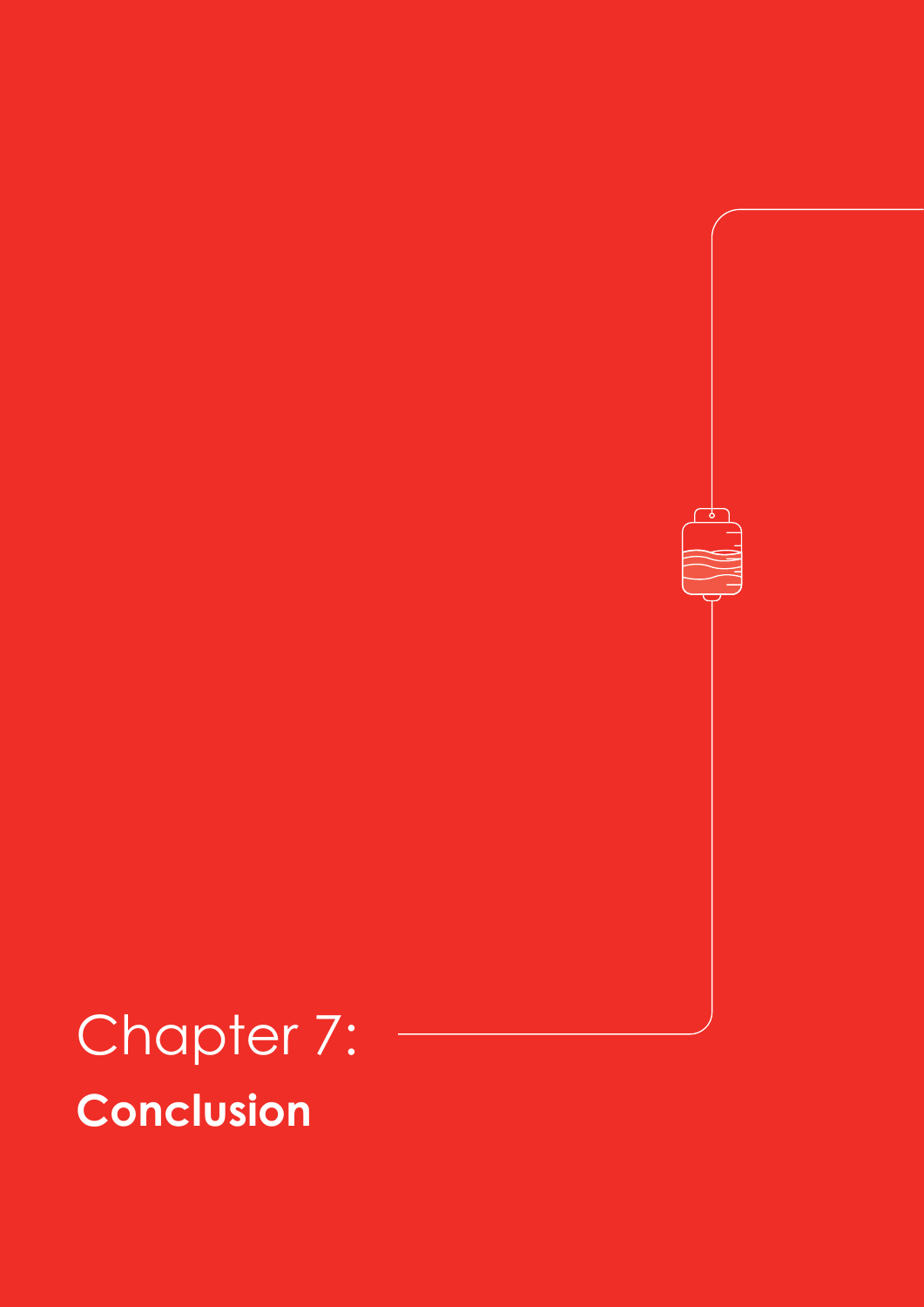## Chapter 7: **Conclusion**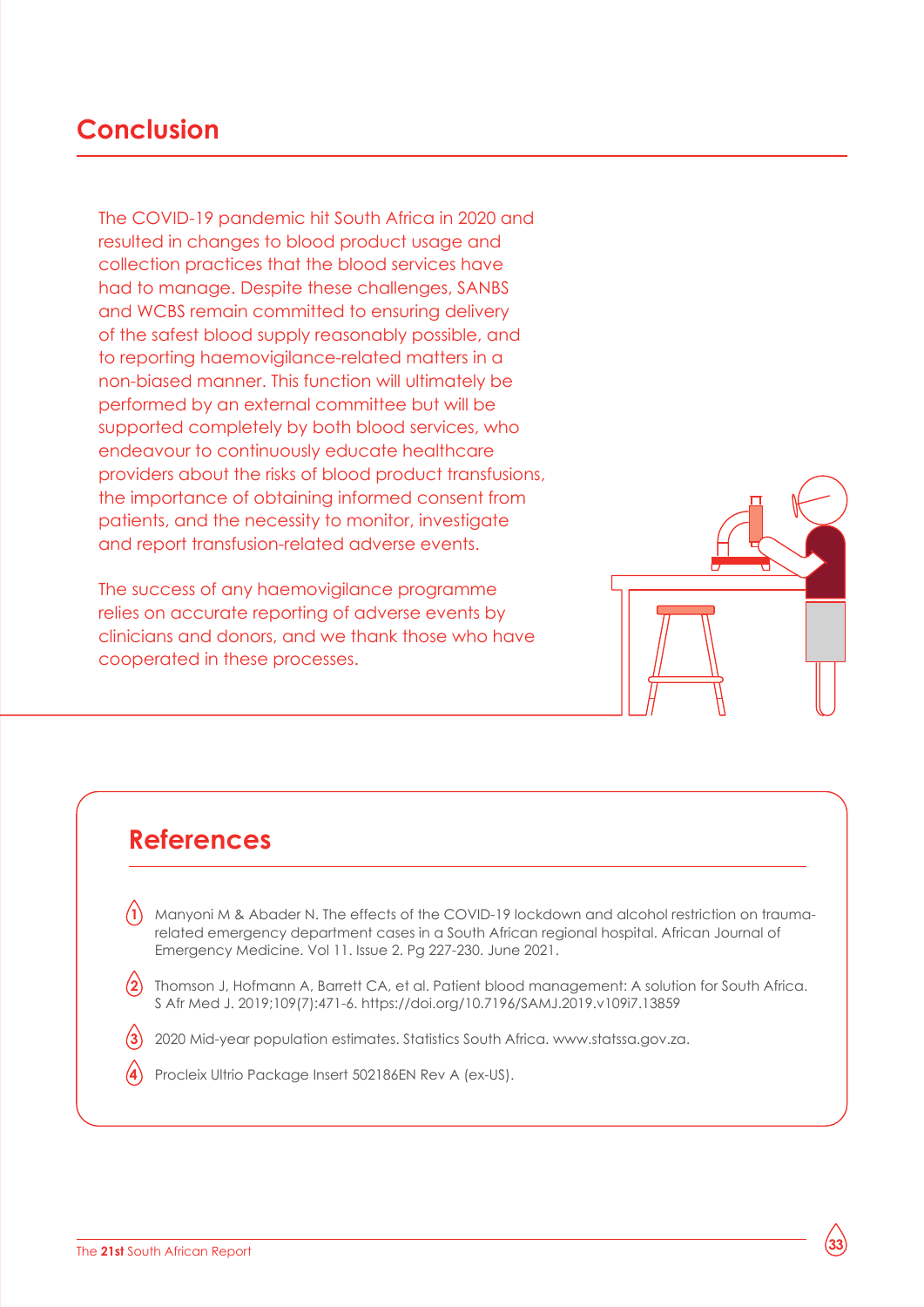### **Conclusion**

The COVID-19 pandemic hit South Africa in 2020 and resulted in changes to blood product usage and collection practices that the blood services have had to manage. Despite these challenges, SANBS and WCBS remain committed to ensuring delivery of the safest blood supply reasonably possible, and to reporting haemovigilance-related matters in a non-biased manner. This function will ultimately be performed by an external committee but will be supported completely by both blood services, who endeavour to continuously educate healthcare providers about the risks of blood product transfusions, the importance of obtaining informed consent from patients, and the necessity to monitor, investigate and report transfusion-related adverse events.

The success of any haemovigilance programme relies on accurate reporting of adverse events by clinicians and donors, and we thank those who have cooperated in these processes.



### **References**

- 1. Manyoni M & Abader N. The effects of the COVID-19 lockdown and alcohol restriction on traumarelated emergency department cases in a South African regional hospital. African Journal of Emergency Medicine. Vol 11. Issue 2. Pg 227-230. June 2021. **1**
- 2. Thomson J, Hofmann A, Barrett CA, et al. Patient blood management: A solution for South Africa. S Afr Med J. 2019;109(7):471-6. https://doi.org/10.7196/SAMJ.2019.v109i7.13859 **2**
- 3. 2020 Mid-year population estimates. Statistics South Africa. www.statssa.gov.za. **3**
- Procleix Ultrio Package Insert 502186EN Rev A (ex-US). **4**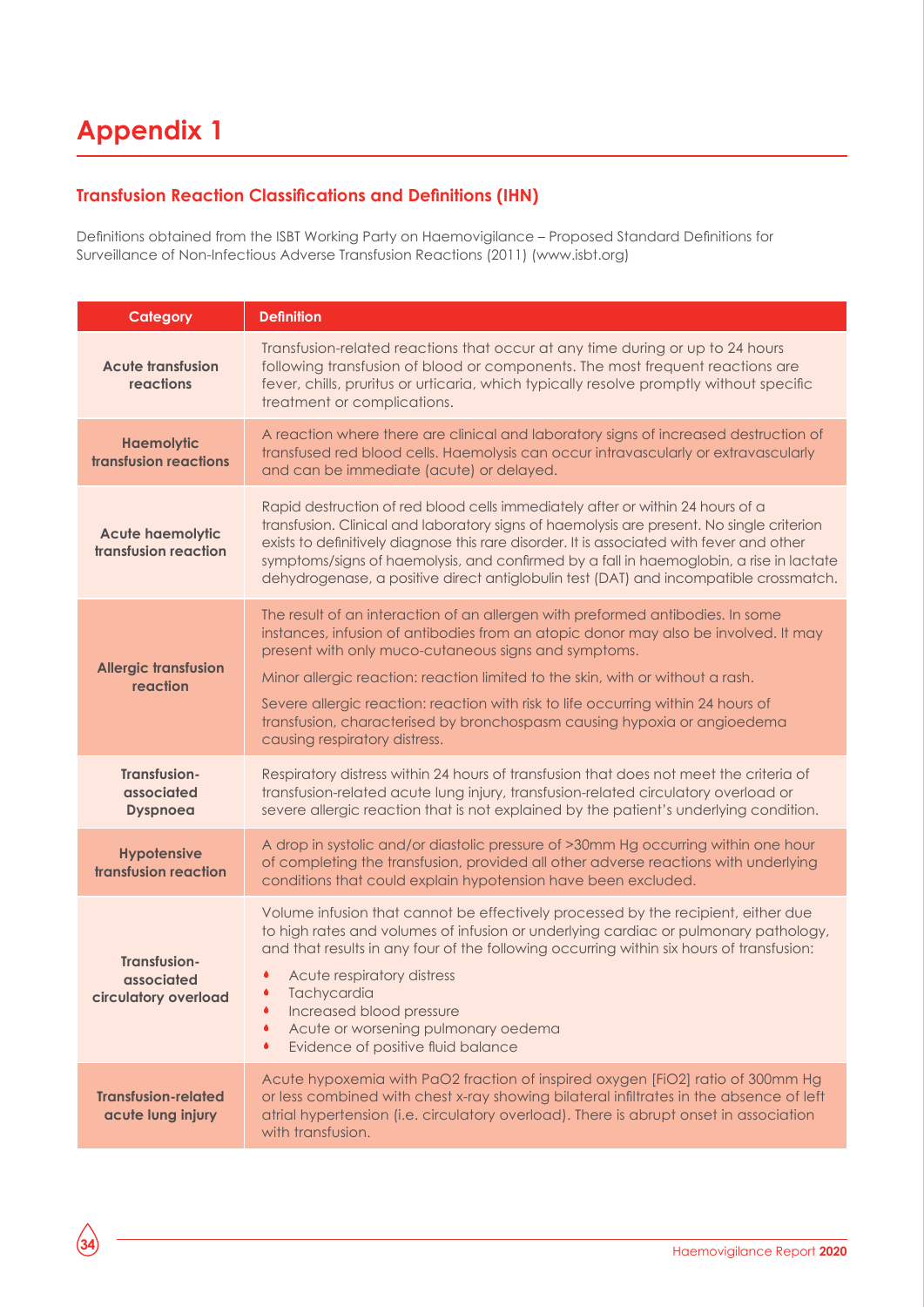## **Appendix 1**

#### **Transfusion Reaction Classifications and Definitions (IHN)**

Definitions obtained from the ISBT Working Party on Haemovigilance – Proposed Standard Definitions for Surveillance of Non-Infectious Adverse Transfusion Reactions (2011) (www.isbt.org)

| <b>Category</b>                                           | <b>Definition</b>                                                                                                                                                                                                                                                                                                                                                                                                                                                                                                 |
|-----------------------------------------------------------|-------------------------------------------------------------------------------------------------------------------------------------------------------------------------------------------------------------------------------------------------------------------------------------------------------------------------------------------------------------------------------------------------------------------------------------------------------------------------------------------------------------------|
| <b>Acute transfusion</b><br>reactions                     | Transfusion-related reactions that occur at any time during or up to 24 hours<br>following transfusion of blood or components. The most frequent reactions are<br>fever, chills, pruritus or urticaria, which typically resolve promptly without specific<br>treatment or complications.                                                                                                                                                                                                                          |
| <b>Haemolytic</b><br>transfusion reactions                | A reaction where there are clinical and laboratory signs of increased destruction of<br>transfused red blood cells. Haemolysis can occur intravascularly or extravascularly<br>and can be immediate (acute) or delayed.                                                                                                                                                                                                                                                                                           |
| <b>Acute haemolytic</b><br>transfusion reaction           | Rapid destruction of red blood cells immediately after or within 24 hours of a<br>transfusion. Clinical and laboratory signs of haemolysis are present. No single criterion<br>exists to definitively diagnose this rare disorder. It is associated with fever and other<br>symptoms/signs of haemolysis, and confirmed by a fall in haemoglobin, a rise in lactate<br>dehydrogenase, a positive direct antiglobulin test (DAT) and incompatible crossmatch.                                                      |
| <b>Allergic transfusion</b><br>reaction                   | The result of an interaction of an allergen with preformed antibodies. In some<br>instances, infusion of antibodies from an atopic donor may also be involved. It may<br>present with only muco-cutaneous signs and symptoms.<br>Minor allergic reaction: reaction limited to the skin, with or without a rash.<br>Severe allergic reaction: reaction with risk to life occurring within 24 hours of<br>transfusion, characterised by bronchospasm causing hypoxia or angioedema<br>causing respiratory distress. |
| Transfusion-<br>associated<br><b>Dyspnoea</b>             | Respiratory distress within 24 hours of transfusion that does not meet the criteria of<br>transfusion-related acute lung injury, transfusion-related circulatory overload or<br>severe allergic reaction that is not explained by the patient's underlying condition.                                                                                                                                                                                                                                             |
| <b>Hypotensive</b><br>transfusion reaction                | A drop in systolic and/or diastolic pressure of >30mm Hg occurring within one hour<br>of completing the transfusion, provided all other adverse reactions with underlying<br>conditions that could explain hypotension have been excluded.                                                                                                                                                                                                                                                                        |
| <b>Transfusion-</b><br>associated<br>circulatory overload | Volume infusion that cannot be effectively processed by the recipient, either due<br>to high rates and volumes of infusion or underlying cardiac or pulmonary pathology,<br>and that results in any four of the following occurring within six hours of transfusion:<br>Acute respiratory distress<br>Tachycardia<br>Increased blood pressure<br>٠<br>Acute or worsening pulmonary oedema<br>۰<br>Evidence of positive fluid balance<br>۰                                                                         |
| <b>Transfusion-related</b><br>acute lung injury           | Acute hypoxemia with PaO2 fraction of inspired oxygen [FiO2] ratio of 300mm Hg<br>or less combined with chest x-ray showing bilateral infiltrates in the absence of left<br>atrial hypertension (i.e. circulatory overload). There is abrupt onset in association<br>with transfusion.                                                                                                                                                                                                                            |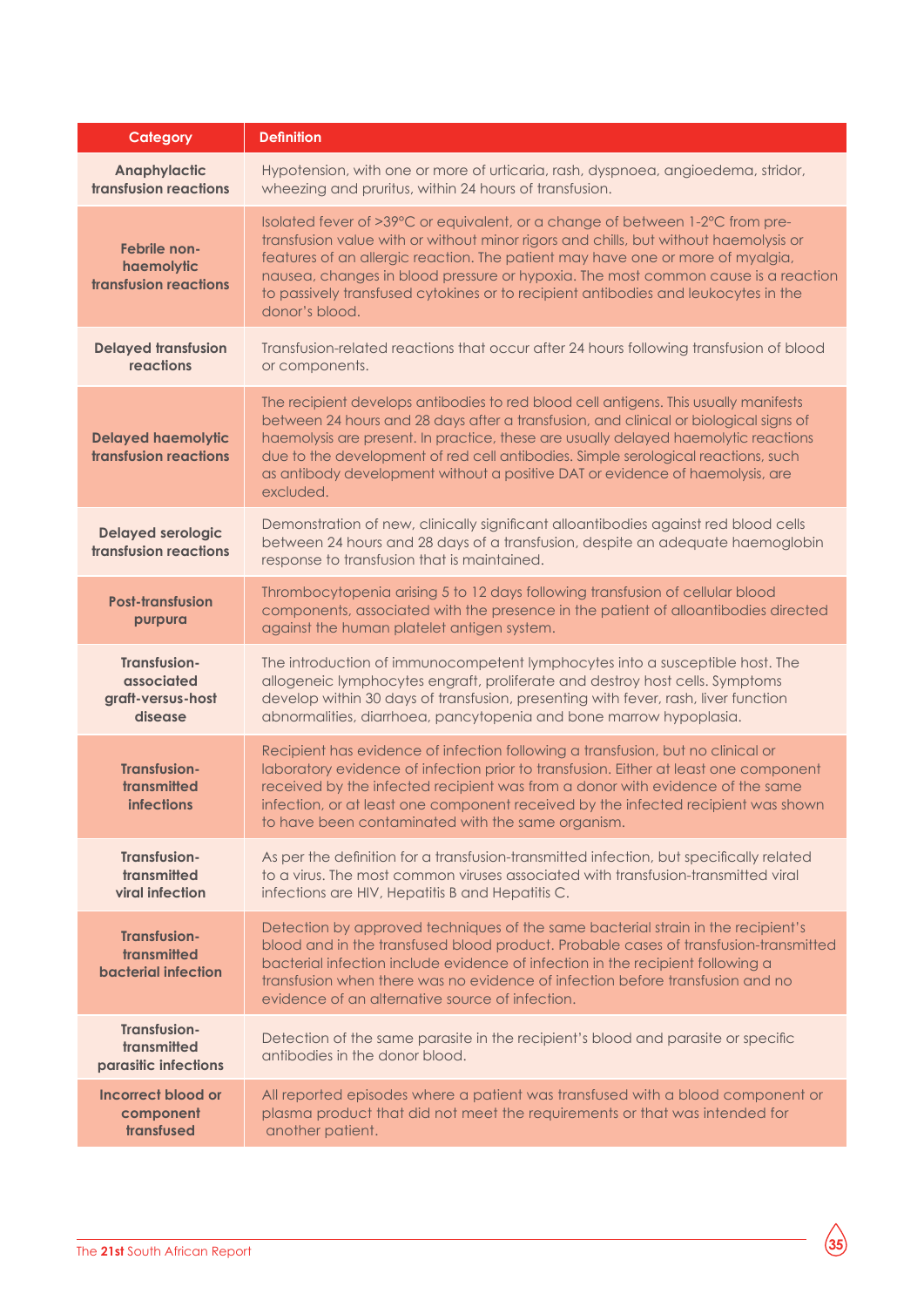| Category                                                         | <b>Definition</b>                                                                                                                                                                                                                                                                                                                                                                                                                                       |
|------------------------------------------------------------------|---------------------------------------------------------------------------------------------------------------------------------------------------------------------------------------------------------------------------------------------------------------------------------------------------------------------------------------------------------------------------------------------------------------------------------------------------------|
| <b>Anaphylactic</b><br>transfusion reactions                     | Hypotension, with one or more of urticaria, rash, dyspnoea, angioedema, stridor,<br>wheezing and pruritus, within 24 hours of transfusion.                                                                                                                                                                                                                                                                                                              |
| Febrile non-<br>haemolytic<br>transfusion reactions              | Isolated fever of >39°C or equivalent, or a change of between 1-2°C from pre-<br>transfusion value with or without minor rigors and chills, but without haemolysis or<br>features of an allergic reaction. The patient may have one or more of myalgia,<br>nausea, changes in blood pressure or hypoxia. The most common cause is a reaction<br>to passively transfused cytokines or to recipient antibodies and leukocytes in the<br>donor's blood.    |
| <b>Delayed transfusion</b><br>reactions                          | Transfusion-related reactions that occur after 24 hours following transfusion of blood<br>or components.                                                                                                                                                                                                                                                                                                                                                |
| <b>Delayed haemolytic</b><br><b>transfusion reactions</b>        | The recipient develops antibodies to red blood cell antigens. This usually manifests<br>between 24 hours and 28 days after a transfusion, and clinical or biological signs of<br>haemolysis are present. In practice, these are usually delayed haemolytic reactions<br>due to the development of red cell antibodies. Simple serological reactions, such<br>as antibody development without a positive DAT or evidence of haemolysis, are<br>excluded. |
| <b>Delayed serologic</b><br>transfusion reactions                | Demonstration of new, clinically significant alloantibodies against red blood cells<br>between 24 hours and 28 days of a transfusion, despite an adequate haemoglobin<br>response to transfusion that is maintained.                                                                                                                                                                                                                                    |
| <b>Post-transfusion</b><br>purpura                               | Thrombocytopenia arising 5 to 12 days following transfusion of cellular blood<br>components, associated with the presence in the patient of alloantibodies directed<br>against the human platelet antigen system.                                                                                                                                                                                                                                       |
| Transfusion-<br>associated<br>graft-versus-host<br>disease       | The introduction of immunocompetent lymphocytes into a susceptible host. The<br>allogeneic lymphocytes engraft, proliferate and destroy host cells. Symptoms<br>develop within 30 days of transfusion, presenting with fever, rash, liver function<br>abnormalities, diarrhoea, pancytopenia and bone marrow hypoplasia.                                                                                                                                |
| <b>Transfusion-</b><br>transmitted<br><b>infections</b>          | Recipient has evidence of infection following a transfusion, but no clinical or<br>laboratory evidence of infection prior to transfusion. Either at least one component<br>received by the infected recipient was from a donor with evidence of the same<br>infection, or at least one component received by the infected recipient was shown<br>to have been contaminated with the same organism.                                                      |
| Transfusion-<br>transmitted<br>viral infection                   | As per the definition for a transfusion-transmitted infection, but specifically related<br>to a virus. The most common viruses associated with transfusion-transmitted viral<br>infections are HIV, Hepatitis B and Hepatitis C.                                                                                                                                                                                                                        |
| <b>Transfusion-</b><br>transmitted<br><b>bacterial infection</b> | Detection by approved techniques of the same bacterial strain in the recipient's<br>blood and in the transfused blood product. Probable cases of transfusion-transmitted<br>bacterial infection include evidence of infection in the recipient following a<br>transfusion when there was no evidence of infection before transfusion and no<br>evidence of an alternative source of infection.                                                          |
| Transfusion-<br>transmitted<br>parasitic infections              | Detection of the same parasite in the recipient's blood and parasite or specific<br>antibodies in the donor blood.                                                                                                                                                                                                                                                                                                                                      |
| <b>Incorrect blood or</b><br>component<br>transfused             | All reported episodes where a patient was transfused with a blood component or<br>plasma product that did not meet the requirements or that was intended for<br>another patient.                                                                                                                                                                                                                                                                        |